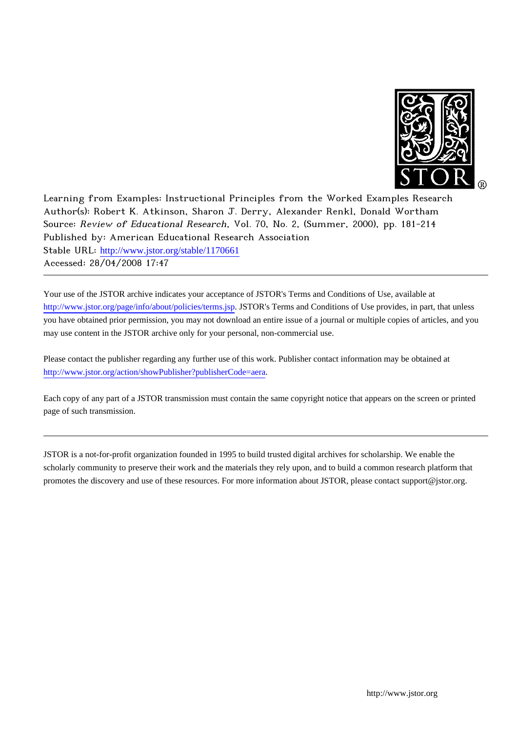

Learning from Examples: Instructional Principles from the Worked Examples Research Author(s): Robert K. Atkinson, Sharon J. Derry, Alexander Renkl, Donald Wortham Source: Review of Educational Research, Vol. 70, No. 2, (Summer, 2000), pp. 181-214 Published by: American Educational Research Association Stable URL: [http://www.jstor.org/stable/1170661](http://www.jstor.org/stable/1170661?origin=JSTOR-pdf) Accessed: 28/04/2008 17:47

Your use of the JSTOR archive indicates your acceptance of JSTOR's Terms and Conditions of Use, available at <http://www.jstor.org/page/info/about/policies/terms.jsp>. JSTOR's Terms and Conditions of Use provides, in part, that unless you have obtained prior permission, you may not download an entire issue of a journal or multiple copies of articles, and you may use content in the JSTOR archive only for your personal, non-commercial use.

Please contact the publisher regarding any further use of this work. Publisher contact information may be obtained at [http://www.jstor.org/action/showPublisher?publisherCode=aera.](http://www.jstor.org/action/showPublisher?publisherCode=aera)

Each copy of any part of a JSTOR transmission must contain the same copyright notice that appears on the screen or printed page of such transmission.

JSTOR is a not-for-profit organization founded in 1995 to build trusted digital archives for scholarship. We enable the scholarly community to preserve their work and the materials they rely upon, and to build a common research platform that promotes the discovery and use of these resources. For more information about JSTOR, please contact support@jstor.org.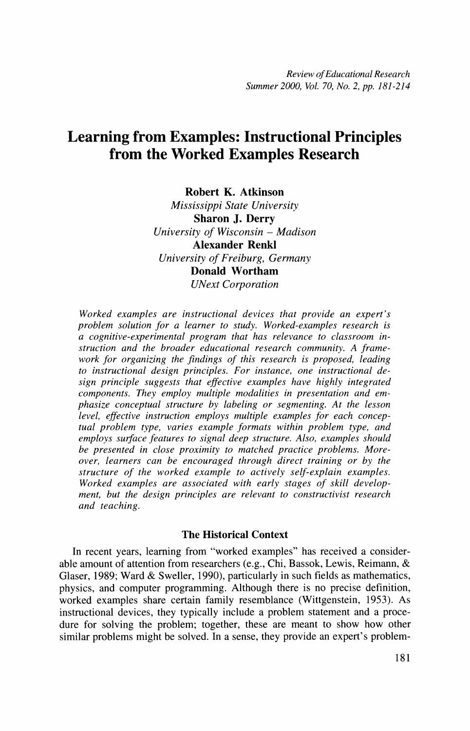# **Learning from Examples: Instructional Principles from the Worked Examples Research**

**Robert K. Atkinson Mississippi State University Sharon J. Derry University of Wisconsin - Madison Alexander Renkl University of Freiburg, Germany Donald Wortham UNext Corporation** 

**Worked examples are instructional devices that provide an expert's problem solution for a learner to study. Worked-examples research is a cognitive-experimental program that has relevance to classroom instruction and the broader educational research community. A framework for organizing the findings of this research is proposed, leading to instructional design principles. For instance, one instructional design principle suggests that effective examples have highly integrated components. They employ multiple modalities in presentation and emphasize conceptual structure by labeling or segmenting. At the lesson level, effective instruction employs multiple examples for each conceptual problem type, varies example formats within problem type, and employs surface features to signal deep structure. Also, examples should be presented in close proximity to matched practice problems. Moreover, learners can be encouraged through direct training or by the structure of the worked example to actively self-explain examples. Worked examples are associated with early stages of skill development, but the design principles are relevant to constructivist research and teaching.** 

## **The Historical Context**

**In recent years, learning from "worked examples" has received a considerable amount of attention from researchers (e.g., Chi, Bassok, Lewis, Reimann, & Glaser, 1989; Ward & Sweller, 1990), particularly in such fields as mathematics, physics, and computer programming. Although there is no precise definition, worked examples share certain family resemblance (Wittgenstein, 1953). As instructional devices, they typically include a problem statement and a procedure for solving the problem; together, these are meant to show how other similar problems might be solved. In a sense, they provide an expert's problem-**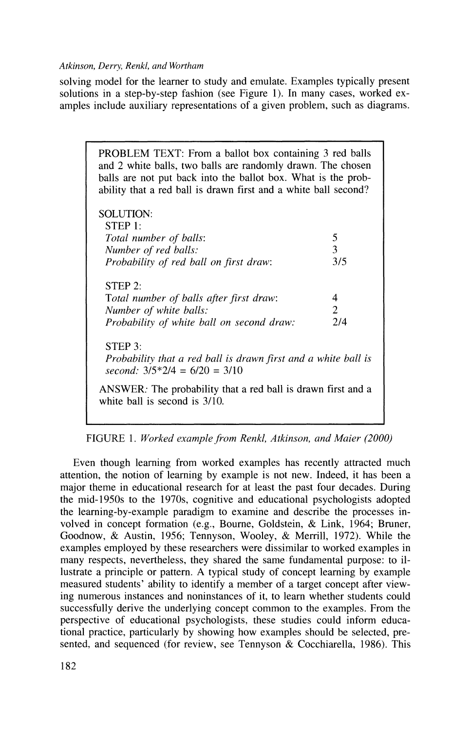**solving model for the learner to study and emulate. Examples typically present solutions in a step-by-step fashion (see Figure 1). In many cases, worked examples include auxiliary representations of a given problem, such as diagrams.** 

| PROBLEM TEXT: From a ballot box containing 3 red balls<br>and 2 white balls, two balls are randomly drawn. The chosen<br>balls are not put back into the ballot box. What is the prob-<br>ability that a red ball is drawn first and a white ball second? |                |
|-----------------------------------------------------------------------------------------------------------------------------------------------------------------------------------------------------------------------------------------------------------|----------------|
| <b>SOLUTION:</b>                                                                                                                                                                                                                                          |                |
| $STEP$ 1:                                                                                                                                                                                                                                                 |                |
| Total number of balls:                                                                                                                                                                                                                                    | 5              |
| Number of red balls:                                                                                                                                                                                                                                      | 3              |
| Probability of red ball on first draw:                                                                                                                                                                                                                    | 3/5            |
| $STEP$ 2:                                                                                                                                                                                                                                                 |                |
| Total number of balls after first draw:                                                                                                                                                                                                                   | 4              |
| Number of white balls:                                                                                                                                                                                                                                    | $\overline{2}$ |
| Probability of white ball on second draw:                                                                                                                                                                                                                 | 2/4            |
| $STEP$ 3:<br>Probability that a red ball is drawn first and a white ball is<br>second: $3/5*2/4 = 6/20 = 3/10$                                                                                                                                            |                |
| ANSWER: The probability that a red ball is drawn first and a<br>white ball is second is 3/10.                                                                                                                                                             |                |

**FIGURE 1. Worked example from Renkl, Atkinson, and Maier (2000)** 

**Even though learning from worked examples has recently attracted much attention, the notion of learning by example is not new. Indeed, it has been a major theme in educational research for at least the past four decades. During the mid-1950s to the 1970s, cognitive and educational psychologists adopted the learning-by-example paradigm to examine and describe the processes involved in concept formation (e.g., Bourne, Goldstein, & Link, 1964; Bruner, Goodnow, & Austin, 1956; Tennyson, Wooley, & Merrill, 1972). While the examples employed by these researchers were dissimilar to worked examples in many respects, nevertheless, they shared the same fundamental purpose: to illustrate a principle or pattern. A typical study of concept learning by example measured students' ability to identify a member of a target concept after viewing numerous instances and noninstances of it, to learn whether students could successfully derive the underlying concept common to the examples. From the perspective of educational psychologists, these studies could inform educational practice, particularly by showing how examples should be selected, presented, and sequenced (for review, see Tennyson & Cocchiarella, 1986). This**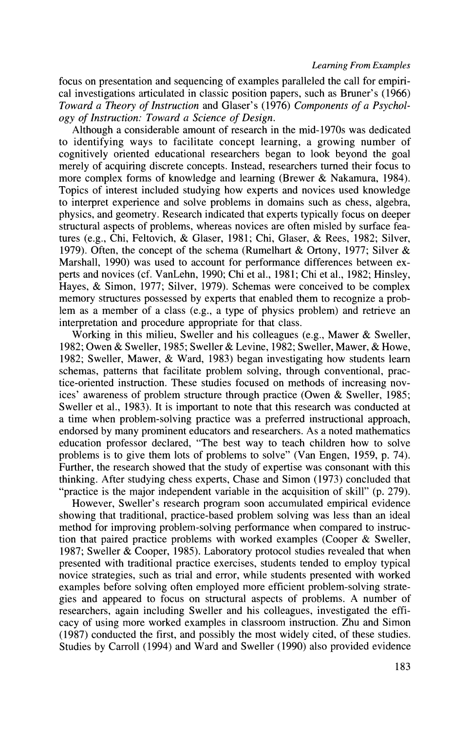**focus on presentation and sequencing of examples paralleled the call for empirical investigations articulated in classic position papers, such as Bruner's (1966) Toward a Theory of Instruction and Glaser's (1976) Components of a Psychology of Instruction: Toward a Science of Design.** 

**Although a considerable amount of research in the mid-1970s was dedicated to identifying ways to facilitate concept learning, a growing number of cognitively oriented educational researchers began to look beyond the goal merely of acquiring discrete concepts. Instead, researchers turned their focus to more complex forms of knowledge and learning (Brewer & Nakamura, 1984). Topics of interest included studying how experts and novices used knowledge to interpret experience and solve problems in domains such as chess, algebra, physics, and geometry. Research indicated that experts typically focus on deeper structural aspects of problems, whereas novices are often misled by surface features (e.g., Chi, Feltovich, & Glaser, 1981; Chi, Glaser, & Rees, 1982; Silver, 1979). Often, the concept of the schema (Rumelhart & Ortony, 1977; Silver & Marshall, 1990) was used to account for performance differences between experts and novices (cf. VanLehn, 1990; Chi et al., 1981; Chi et al., 1982; Hinsley, Hayes, & Simon, 1977; Silver, 1979). Schemas were conceived to be complex memory structures possessed by experts that enabled them to recognize a problem as a member of a class (e.g., a type of physics problem) and retrieve an interpretation and procedure appropriate for that class.** 

**Working in this milieu, Sweller and his colleagues (e.g., Mawer & Sweller, 1982; Owen & Sweller, 1985; Sweller & Levine, 1982; Sweller, Mawer, & Howe, 1982; Sweller, Mawer, & Ward, 1983) began investigating how students learn schemas, patterns that facilitate problem solving, through conventional, practice-oriented instruction. These studies focused on methods of increasing novices' awareness of problem structure through practice (Owen & Sweller, 1985; Sweller et al., 1983). It is important to note that this research was conducted at a time when problem-solving practice was a preferred instructional approach, endorsed by many prominent educators and researchers. As a noted mathematics education professor declared, "The best way to teach children how to solve problems is to give them lots of problems to solve" (Van Engen, 1959, p. 74). Further, the research showed that the study of expertise was consonant with this thinking. After studying chess experts, Chase and Simon (1973) concluded that "practice is the major independent variable in the acquisition of skill" (p. 279).** 

**However, Sweller's research program soon accumulated empirical evidence showing that traditional, practice-based problem solving was less than an ideal method for improving problem-solving performance when compared to instruction that paired practice problems with worked examples (Cooper & Sweller, 1987; Sweller & Cooper, 1985). Laboratory protocol studies revealed that when presented with traditional practice exercises, students tended to employ typical novice strategies, such as trial and error, while students presented with worked examples before solving often employed more efficient problem-solving strategies and appeared to focus on structural aspects of problems. A number of researchers, again including Sweller and his colleagues, investigated the efficacy of using more worked examples in classroom instruction. Zhu and Simon (1987) conducted the first, and possibly the most widely cited, of these studies. Studies by Carroll (1994) and Ward and Sweller (1990) also provided evidence**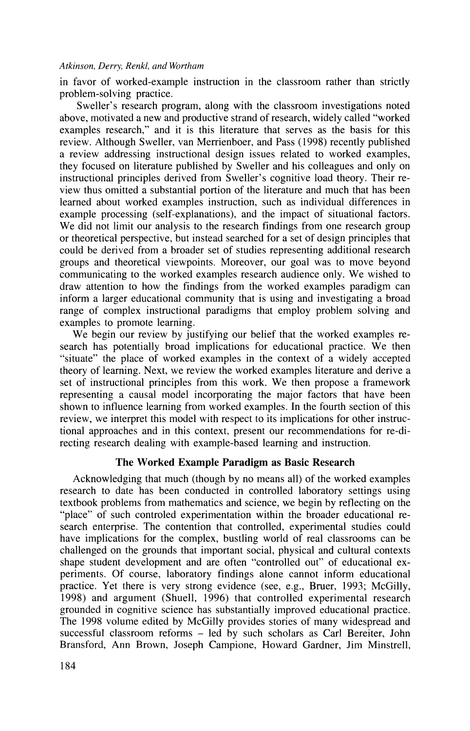**in favor of worked-example instruction in the classroom rather than strictly problem-solving practice.** 

**Sweller's research program, along with the classroom investigations noted above, motivated a new and productive strand of research, widely called "worked examples research," and it is this literature that serves as the basis for this review. Although Sweller, van Merrienboer, and Pass (1998) recently published a review addressing instructional design issues related to worked examples, they focused on literature published by Sweller and his colleagues and only on instructional principles derived from Sweller's cognitive load theory. Their review thus omitted a substantial portion of the literature and much that has been learned about worked examples instruction, such as individual differences in example processing (self-explanations), and the impact of situational factors. We did not limit our analysis to the research findings from one research group or theoretical perspective, but instead searched for a set of design principles that could be derived from a broader set of studies representing additional research groups and theoretical viewpoints. Moreover, our goal was to move beyond communicating to the worked examples research audience only. We wished to draw attention to how the findings from the worked examples paradigm can inform a larger educational community that is using and investigating a broad range of complex instructional paradigms that employ problem solving and examples to promote learning.** 

**We begin our review by justifying our belief that the worked examples research has potentially broad implications for educational practice. We then "situate" the place of worked examples in the context of a widely accepted theory of learning. Next, we review the worked examples literature and derive a set of instructional principles from this work. We then propose a framework representing a causal model incorporating the major factors that have been shown to influence learning from worked examples. In the fourth section of this review, we interpret this model with respect to its implications for other instructional approaches and in this context, present our recommendations for re-directing research dealing with example-based learning and instruction.** 

# **The Worked Example Paradigm as Basic Research**

**Acknowledging that much (though by no means all) of the worked examples research to date has been conducted in controlled laboratory settings using textbook problems from mathematics and science, we begin by reflecting on the "place" of such controled experimentation within the broader educational research enterprise. The contention that controlled, experimental studies could have implications for the complex, bustling world of real classrooms can be challenged on the grounds that important social, physical and cultural contexts shape student development and are often "controlled out" of educational experiments. Of course, laboratory findings alone cannot inform educational practice. Yet there is very strong evidence (see, e.g., Bruer, 1993; McGilly, 1998) and argument (Shuell, 1996) that controlled experimental research grounded in cognitive science has substantially improved educational practice. The 1998 volume edited by McGilly provides stories of many widespread and successful classroom reforms - led by such scholars as Carl Bereiter, John Bransford, Ann Brown, Joseph Campione, Howard Gardner, Jim Minstrell,**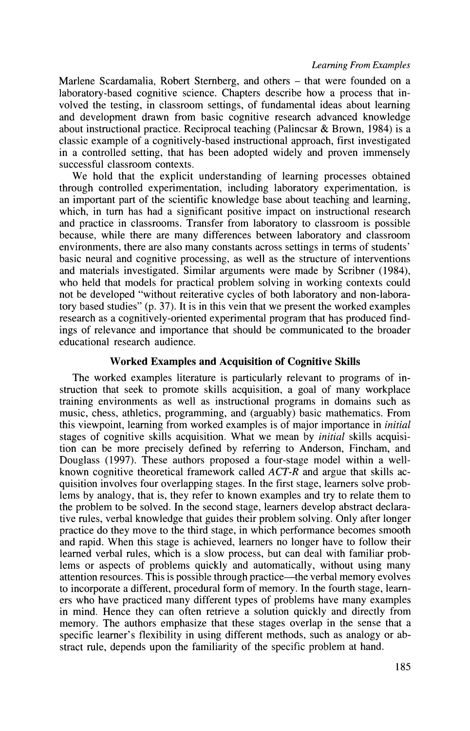**Marlene Scardamalia, Robert Sternberg, and others - that were founded on a laboratory-based cognitive science. Chapters describe how a process that involved the testing, in classroom settings, of fundamental ideas about learning and development drawn from basic cognitive research advanced knowledge about instructional practice. Reciprocal teaching (Palincsar & Brown, 1984) is a classic example of a cognitively-based instructional approach, first investigated in a controlled setting, that has been adopted widely and proven immensely successful classroom contexts.** 

**We hold that the explicit understanding of learning processes obtained through controlled experimentation, including laboratory experimentation, is an important part of the scientific knowledge base about teaching and learning, which, in turn has had a significant positive impact on instructional research and practice in classrooms. Transfer from laboratory to classroom is possible because, while there are many differences between laboratory and classroom environments, there are also many constants across settings in terms of students' basic neural and cognitive processing, as well as the structure of interventions and materials investigated. Similar arguments were made by Scribner (1984), who held that models for practical problem solving in working contexts could not be developed "without reiterative cycles of both laboratory and non-laboratory based studies" (p. 37). It is in this vein that we present the worked examples research as a cognitively-oriented experimental program that has produced findings of relevance and importance that should be communicated to the broader educational research audience.** 

## **Worked Examples and Acquisition of Cognitive Skills**

**The worked examples literature is particularly relevant to programs of instruction that seek to promote skills acquisition, a goal of many workplace training environments as well as instructional programs in domains such as music, chess, athletics, programming, and (arguably) basic mathematics. From this viewpoint, learning from worked examples is of major importance in initial stages of cognitive skills acquisition. What we mean by initial skills acquisition can be more precisely defined by referring to Anderson, Fincham, and Douglass (1997). These authors proposed a four-stage model within a wellknown cognitive theoretical framework called ACT-R and argue that skills acquisition involves four overlapping stages. In the first stage, learners solve problems by analogy, that is, they refer to known examples and try to relate them to the problem to be solved. In the second stage, learners develop abstract declarative rules, verbal knowledge that guides their problem solving. Only after longer practice do they move to the third stage, in which performance becomes smooth and rapid. When this stage is achieved, learners no longer have to follow their learned verbal rules, which is a slow process, but can deal with familiar problems or aspects of problems quickly and automatically, without using many attention resources. This is possible through practice-the verbal memory evolves to incorporate a different, procedural form of memory. In the fourth stage, learners who have practiced many different types of problems have many examples in mind. Hence they can often retrieve a solution quickly and directly from memory. The authors emphasize that these stages overlap in the sense that a specific learner's flexibility in using different methods, such as analogy or abstract rule, depends upon the familiarity of the specific problem at hand.**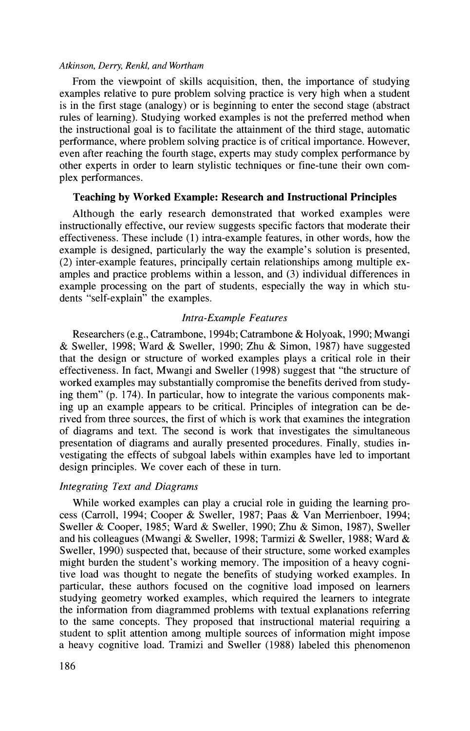**From the viewpoint of skills acquisition, then, the importance of studying examples relative to pure problem solving practice is very high when a student is in the first stage (analogy) or is beginning to enter the second stage (abstract rules of learning). Studying worked examples is not the preferred method when the instructional goal is to facilitate the attainment of the third stage, automatic performance, where problem solving practice is of critical importance. However, even after reaching the fourth stage, experts may study complex performance by other experts in order to learn stylistic techniques or fine-tune their own complex performances.** 

# **Teaching by Worked Example: Research and Instructional Principles**

**Although the early research demonstrated that worked examples were instructionally effective, our review suggests specific factors that moderate their effectiveness. These include (1) intra-example features, in other words, how the example is designed, particularly the way the example's solution is presented, (2) inter-example features, principally certain relationships among multiple examples and practice problems within a lesson, and (3) individual differences in example processing on the part of students, especially the way in which students "self-explain" the examples.** 

# **Intra-Example Features**

**Researchers (e.g., Catrambone, 1994b; Catrambone & Holyoak, 1990; Mwangi & Sweller, 1998; Ward & Sweller, 1990; Zhu & Simon, 1987) have suggested that the design or structure of worked examples plays a critical role in their effectiveness. In fact, Mwangi and Sweller (1998) suggest that "the structure of worked examples may substantially compromise the benefits derived from studying them" (p. 174). In particular, how to integrate the various components making up an example appears to be critical. Principles of integration can be derived from three sources, the first of which is work that examines the integration of diagrams and text. The second is work that investigates the simultaneous presentation of diagrams and aurally presented procedures. Finally, studies investigating the effects of subgoal labels within examples have led to important design principles. We cover each of these in turn.** 

## **Integrating Text and Diagrams**

**While worked examples can play a crucial role in guiding the learning process (Carroll, 1994; Cooper & Sweller, 1987; Paas & Van Merrienboer, 1994; Sweller & Cooper, 1985; Ward & Sweller, 1990; Zhu & Simon, 1987), Sweller and his colleagues (Mwangi & Sweller, 1998; Tarmizi & Sweller, 1988; Ward & Sweller, 1990) suspected that, because of their structure, some worked examples might burden the student's working memory. The imposition of a heavy cognitive load was thought to negate the benefits of studying worked examples. In particular, these authors focused on the cognitive load imposed on learners studying geometry worked examples, which required the learners to integrate the information from diagrammed problems with textual explanations referring to the same concepts. They proposed that instructional material requiring a student to split attention among multiple sources of information might impose a heavy cognitive load. Tramizi and Sweller (1988) labeled this phenomenon**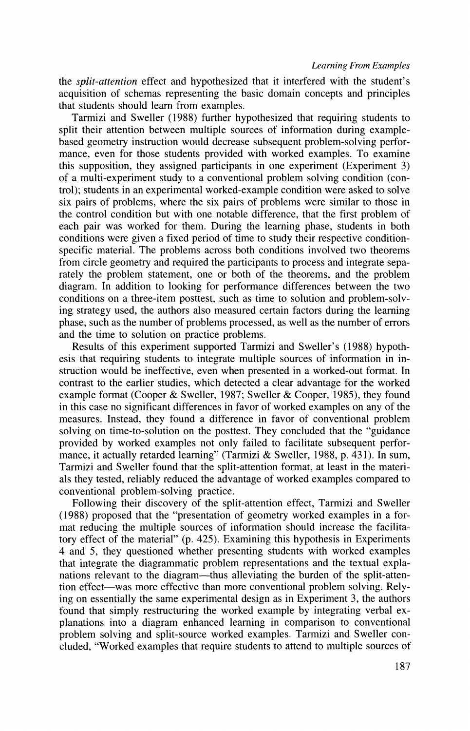**the split-attention effect and hypothesized that it interfered with the student's acquisition of schemas representing the basic domain concepts and principles that students should learn from examples.** 

**Tarmizi and Sweller (1988) further hypothesized that requiring students to split their attention between multiple sources of information during examplebased geometry instruction would decrease subsequent problem-solving performance, even for those students provided with worked examples. To examine this supposition, they assigned participants in one experiment (Experiment 3) of a multi-experiment study to a conventional problem solving condition (control); students in an experimental worked-example condition were asked to solve six pairs of problems, where the six pairs of problems were similar to those in the control condition but with one notable difference, that the first problem of each pair was worked for them. During the learning phase, students in both conditions were given a fixed period of time to study their respective conditionspecific material. The problems across both conditions involved two theorems from circle geometry and required the participants to process and integrate separately the problem statement, one or both of the theorems, and the problem diagram. In addition to looking for performance differences between the two conditions on a three-item posttest, such as time to solution and problem-solving strategy used, the authors also measured certain factors during the learning phase, such as the number of problems processed, as well as the number of errors and the time to solution on practice problems.** 

**Results of this experiment supported Tarmizi and Sweller's (1988) hypothesis that requiring students to integrate multiple sources of information in instruction would be ineffective, even when presented in a worked-out format. In contrast to the earlier studies, which detected a clear advantage for the worked example format (Cooper & Sweller, 1987; Sweller & Cooper, 1985), they found in this case no significant differences in favor of worked examples on any of the measures. Instead, they found a difference in favor of conventional problem solving on time-to-solution on the posttest. They concluded that the "guidance provided by worked examples not only failed to facilitate subsequent performance, it actually retarded learning" (Tarmizi & Sweller, 1988, p. 431). In sum, Tarmizi and Sweller found that the split-attention format, at least in the materials they tested, reliably reduced the advantage of worked examples compared to conventional problem-solving practice.** 

**Following their discovery of the split-attention effect, Tarmizi and Sweller (1988) proposed that the "presentation of geometry worked examples in a format reducing the multiple sources of information should increase the facilitatory effect of the material" (p. 425). Examining this hypothesis in Experiments 4 and 5, they questioned whether presenting students with worked examples that integrate the diagrammatic problem representations and the textual explanations relevant to the diagram-thus alleviating the burden of the split-attention effect-was more effective than more conventional problem solving. Relying on essentially the same experimental design as in Experiment 3, the authors found that simply restructuring the worked example by integrating verbal explanations into a diagram enhanced learning in comparison to conventional problem solving and split-source worked examples. Tarmizi and Sweller concluded, "Worked examples that require students to attend to multiple sources of**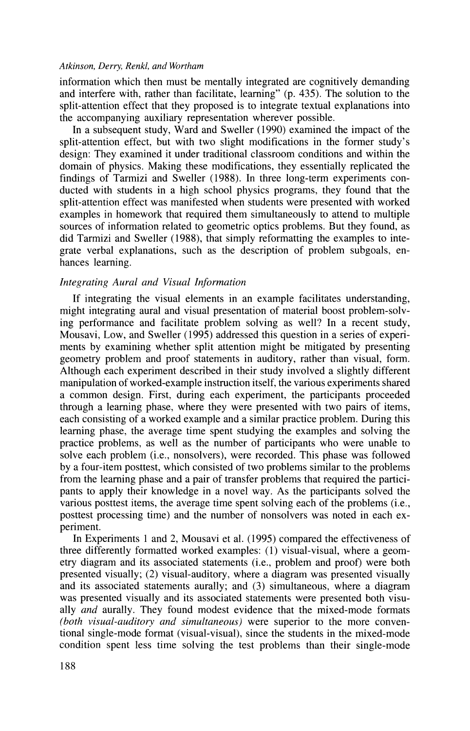**information which then must be mentally integrated are cognitively demanding and interfere with, rather than facilitate, learning" (p. 435). The solution to the split-attention effect that they proposed is to integrate textual explanations into the accompanying auxiliary representation wherever possible.** 

**In a subsequent study, Ward and Sweller (1990) examined the impact of the split-attention effect, but with two slight modifications in the former study's design: They examined it under traditional classroom conditions and within the domain of physics. Making these modifications, they essentially replicated the findings of Tarmizi and Sweller (1988). In three long-term experiments conducted with students in a high school physics programs, they found that the split-attention effect was manifested when students were presented with worked examples in homework that required them simultaneously to attend to multiple sources of information related to geometric optics problems. But they found, as did Tarmizi and Sweller (1988), that simply reformatting the examples to integrate verbal explanations, such as the description of problem subgoals, enhances learning.** 

# **Integrating Aural and Visual Information**

**If integrating the visual elements in an example facilitates understanding, might integrating aural and visual presentation of material boost problem-solving performance and facilitate problem solving as well? In a recent study, Mousavi, Low, and Sweller (1995) addressed this question in a series of experiments by examining whether split attention might be mitigated by presenting geometry problem and proof statements in auditory, rather than visual, form. Although each experiment described in their study involved a slightly different manipulation of worked-example instruction itself, the various experiments shared a common design. First, during each experiment, the participants proceeded through a learning phase, where they were presented with two pairs of items, each consisting of a worked example and a similar practice problem. During this learning phase, the average time spent studying the examples and solving the practice problems, as well as the number of participants who were unable to solve each problem (i.e., nonsolvers), were recorded. This phase was followed by a four-item posttest, which consisted of two problems similar to the problems from the learning phase and a pair of transfer problems that required the participants to apply their knowledge in a novel way. As the participants solved the various posttest items, the average time spent solving each of the problems (i.e., posttest processing time) and the number of nonsolvers was noted in each experiment.** 

**In Experiments 1 and 2, Mousavi et al. (1995) compared the effectiveness of three differently formatted worked examples: (1) visual-visual, where a geometry diagram and its associated statements (i.e., problem and proof) were both presented visually; (2) visual-auditory, where a diagram was presented visually and its associated statements aurally; and (3) simultaneous, where a diagram was presented visually and its associated statements were presented both visually and aurally. They found modest evidence that the mixed-mode formats (both visual-auditory and simultaneous) were superior to the more conventional single-mode format (visual-visual), since the students in the mixed-mode condition spent less time solving the test problems than their single-mode**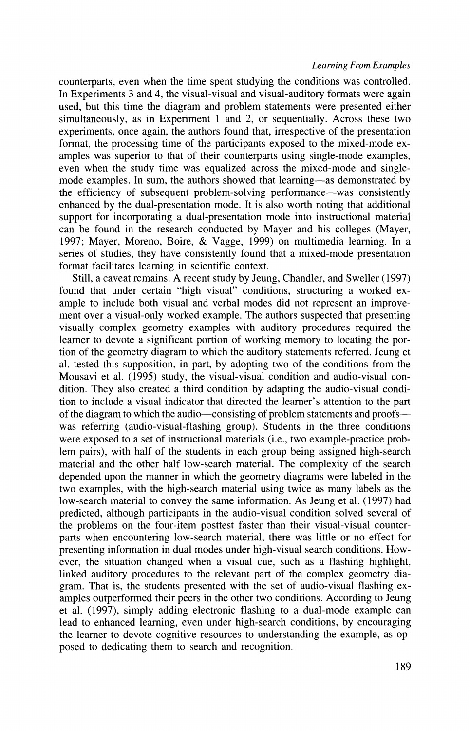# **Learning From Examples**

**counterparts, even when the time spent studying the conditions was controlled. In Experiments 3 and 4, the visual-visual and visual-auditory formats were again used, but this time the diagram and problem statements were presented either simultaneously, as in Experiment 1 and 2, or sequentially. Across these two experiments, once again, the authors found that, irrespective of the presentation format, the processing time of the participants exposed to the mixed-mode examples was superior to that of their counterparts using single-mode examples, even when the study time was equalized across the mixed-mode and single**mode examples. In sum, the authors showed that learning-as demonstrated by **the efficiency of subsequent problem-solving performance-was consistently enhanced by the dual-presentation mode. It is also worth noting that additional support for incorporating a dual-presentation mode into instructional material can be found in the research conducted by Mayer and his colleges (Mayer, 1997; Mayer, Moreno, Boire, & Vagge, 1999) on multimedia learning. In a series of studies, they have consistently found that a mixed-mode presentation format facilitates learning in scientific context.** 

**Still, a caveat remains. A recent study by Jeung, Chandler, and Sweller (1997) found that under certain "high visual" conditions, structuring a worked example to include both visual and verbal modes did not represent an improvement over a visual-only worked example. The authors suspected that presenting visually complex geometry examples with auditory procedures required the learner to devote a significant portion of working memory to locating the portion of the geometry diagram to which the auditory statements referred. Jeung et al. tested this supposition, in part, by adopting two of the conditions from the Mousavi et al. (1995) study, the visual-visual condition and audio-visual condition. They also created a third condition by adapting the audio-visual condition to include a visual indicator that directed the learner's attention to the part of the diagram to which the audio-consisting of problem statements and proofswas referring (audio-visual-flashing group). Students in the three conditions were exposed to a set of instructional materials (i.e., two example-practice problem pairs), with half of the students in each group being assigned high-search material and the other half low-search material. The complexity of the search depended upon the manner in which the geometry diagrams were labeled in the two examples, with the high-search material using twice as many labels as the low-search material to convey the same information. As Jeung et al. (1997) had predicted, although participants in the audio-visual condition solved several of the problems on the four-item posttest faster than their visual-visual counterparts when encountering low-search material, there was little or no effect for presenting information in dual modes under high-visual search conditions. However, the situation changed when a visual cue, such as a flashing highlight, linked auditory procedures to the relevant part of the complex geometry diagram. That is, the students presented with the set of audio-visual flashing examples outperformed their peers in the other two conditions. According to Jeung et al. (1997), simply adding electronic flashing to a dual-mode example can lead to enhanced learning, even under high-search conditions, by encouraging the learner to devote cognitive resources to understanding the example, as opposed to dedicating them to search and recognition.**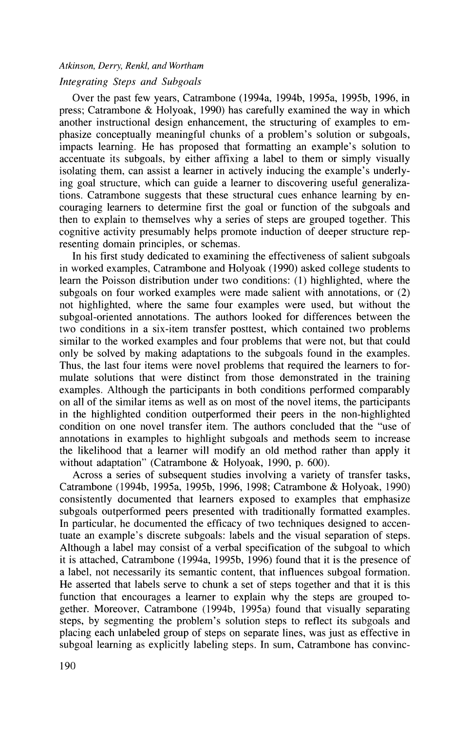# **Integrating Steps and Subgoals**

**Over the past few years, Catrambone (1994a, 1994b, 1995a, 1995b, 1996, in press; Catrambone & Holyoak, 1990) has carefully examined the way in which another instructional design enhancement, the structuring of examples to emphasize conceptually meaningful chunks of a problem's solution or subgoals, impacts learning. He has proposed that formatting an example's solution to accentuate its subgoals, by either affixing a label to them or simply visually isolating them, can assist a learner in actively inducing the example's underlying goal structure, which can guide a learner to discovering useful generalizations. Catrambone suggests that these structural cues enhance learning by encouraging learners to determine first the goal or function of the subgoals and then to explain to themselves why a series of steps are grouped together. This cognitive activity presumably helps promote induction of deeper structure representing domain principles, or schemas.** 

**In his first study dedicated to examining the effectiveness of salient subgoals in worked examples, Catrambone and Holyoak (1990) asked college students to learn the Poisson distribution under two conditions: (1) highlighted, where the subgoals on four worked examples were made salient with annotations, or (2) not highlighted, where the same four examples were used, but without the subgoal-oriented annotations. The authors looked for differences between the two conditions in a six-item transfer posttest, which contained two problems similar to the worked examples and four problems that were not, but that could only be solved by making adaptations to the subgoals found in the examples. Thus, the last four items were novel problems that required the learners to formulate solutions that were distinct from those demonstrated in the training examples. Although the participants in both conditions performed comparably on all of the similar items as well as on most of the novel items, the participants in the highlighted condition outperformed their peers in the non-highlighted condition on one novel transfer item. The authors concluded that the "use of annotations in examples to highlight subgoals and methods seem to increase the likelihood that a learner will modify an old method rather than apply it without adaptation" (Catrambone & Holyoak, 1990, p. 600).** 

**Across a series of subsequent studies involving a variety of transfer tasks, Catrambone (1994b, 1995a, 1995b, 1996, 1998; Catrambone & Holyoak, 1990) consistently documented that learners exposed to examples that emphasize subgoals outperformed peers presented with traditionally formatted examples. In particular, he documented the efficacy of two techniques designed to accentuate an example's discrete subgoals: labels and the visual separation of steps. Although a label may consist of a verbal specification of the subgoal to which it is attached, Catrambone (1994a, 1995b, 1996) found that it is the presence of a label, not necessarily its semantic content, that influences subgoal formation. He asserted that labels serve to chunk a set of steps together and that it is this function that encourages a learner to explain why the steps are grouped together. Moreover, Catrambone (1994b, 1995a) found that visually separating steps, by segmenting the problem's solution steps to reflect its subgoals and placing each unlabeled group of steps on separate lines, was just as effective in subgoal learning as explicitly labeling steps. In sum, Catrambone has convinc-**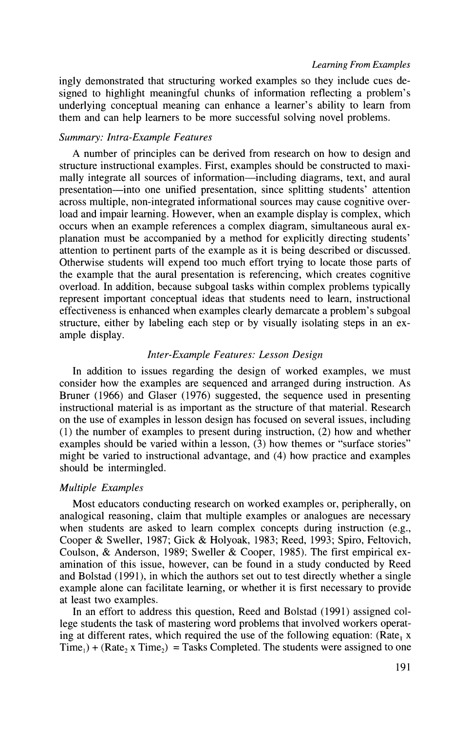**ingly demonstrated that structuring worked examples so they include cues designed to highlight meaningful chunks of information reflecting a problem's underlying conceptual meaning can enhance a learner's ability to learn from them and can help learners to be more successful solving novel problems.** 

## **Summary: Intra-Example Features**

**A number of principles can be derived from research on how to design and structure instructional examples. First, examples should be constructed to maxi**mally integrate all sources of information—including diagrams, text, and aural **presentation-into one unified presentation, since splitting students' attention across multiple, non-integrated informational sources may cause cognitive overload and impair learning. However, when an example display is complex, which occurs when an example references a complex diagram, simultaneous aural explanation must be accompanied by a method for explicitly directing students' attention to pertinent parts of the example as it is being described or discussed. Otherwise students will expend too much effort trying to locate those parts of the example that the aural presentation is referencing, which creates cognitive overload. In addition, because subgoal tasks within complex problems typically represent important conceptual ideas that students need to learn, instructional effectiveness is enhanced when examples clearly demarcate a problem's subgoal structure, either by labeling each step or by visually isolating steps in an example display.** 

# **Inter-Example Features: Lesson Design**

**In addition to issues regarding the design of worked examples, we must consider how the examples are sequenced and arranged during instruction. As Bruner (1966) and Glaser (1976) suggested, the sequence used in presenting instructional material is as important as the structure of that material. Research on the use of examples in lesson design has focused on several issues, including (1) the number of examples to present during instruction, (2) how and whether examples should be varied within a lesson, (3) how themes or "surface stories" might be varied to instructional advantage, and (4) how practice and examples should be intermingled.** 

# **Multiple Examples**

**Most educators conducting research on worked examples or, peripherally, on analogical reasoning, claim that multiple examples or analogues are necessary when students are asked to learn complex concepts during instruction (e.g., Cooper & Sweller, 1987; Gick & Holyoak, 1983; Reed, 1993; Spiro, Feltovich, Coulson, & Anderson, 1989; Sweller & Cooper, 1985). The first empirical examination of this issue, however, can be found in a study conducted by Reed and Bolstad (1991), in which the authors set out to test directly whether a single example alone can facilitate learning, or whether it is first necessary to provide at least two examples.** 

**In an effort to address this question, Reed and Bolstad (1991) assigned college students the task of mastering word problems that involved workers operating at different rates, which required the use of the following equation: (Rate, x**   $Time<sub>1</sub> + (Rate<sub>2</sub> x Time<sub>2</sub>) = Tasks Completed. The students were assigned to one$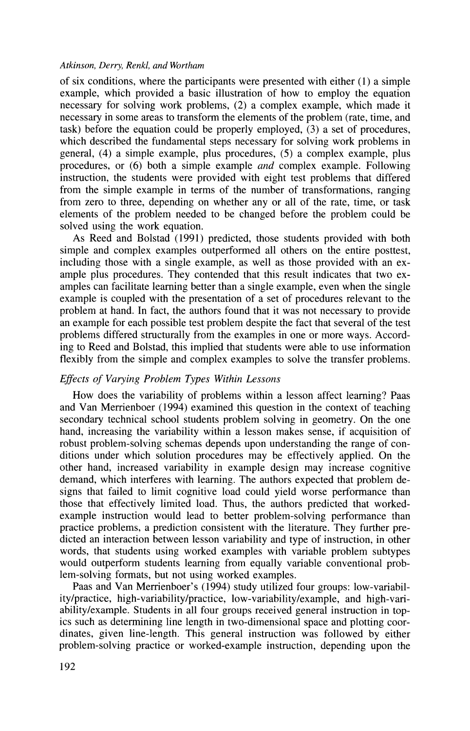**of six conditions, where the participants were presented with either (1) a simple example, which provided a basic illustration of how to employ the equation necessary for solving work problems, (2) a complex example, which made it necessary in some areas to transform the elements of the problem (rate, time, and task) before the equation could be properly employed, (3) a set of procedures, which described the fundamental steps necessary for solving work problems in general, (4) a simple example, plus procedures, (5) a complex example, plus procedures, or (6) both a simple example and complex example. Following instruction, the students were provided with eight test problems that differed from the simple example in terms of the number of transformations, ranging from zero to three, depending on whether any or all of the rate, time, or task elements of the problem needed to be changed before the problem could be solved using the work equation.** 

**As Reed and Bolstad (1991) predicted, those students provided with both simple and complex examples outperformed all others on the entire posttest, including those with a single example, as well as those provided with an example plus procedures. They contended that this result indicates that two examples can facilitate learning better than a single example, even when the single example is coupled with the presentation of a set of procedures relevant to the problem at hand. In fact, the authors found that it was not necessary to provide an example for each possible test problem despite the fact that several of the test problems differed structurally from the examples in one or more ways. According to Reed and Bolstad, this implied that students were able to use information flexibly from the simple and complex examples to solve the transfer problems.** 

# **Effects of Varying Problem Types Within Lessons**

**How does the variability of problems within a lesson affect learning? Paas and Van Merrienboer (1994) examined this question in the context of teaching secondary technical school students problem solving in geometry. On the one hand, increasing the variability within a lesson makes sense, if acquisition of robust problem-solving schemas depends upon understanding the range of conditions under which solution procedures may be effectively applied. On the other hand, increased variability in example design may increase cognitive demand, which interferes with learning. The authors expected that problem designs that failed to limit cognitive load could yield worse performance than those that effectively limited load. Thus, the authors predicted that workedexample instruction would lead to better problem-solving performance than practice problems, a prediction consistent with the literature. They further predicted an interaction between lesson variability and type of instruction, in other words, that students using worked examples with variable problem subtypes would outperform students learning from equally variable conventional problem-solving formats, but not using worked examples.** 

**Paas and Van Merrienboer's (1994) study utilized four groups: low-variability/practice, high-variability/practice, low-variability/example, and high-variability/example. Students in all four groups received general instruction in topics such as determining line length in two-dimensional space and plotting coordinates, given line-length. This general instruction was followed by either problem-solving practice or worked-example instruction, depending upon the**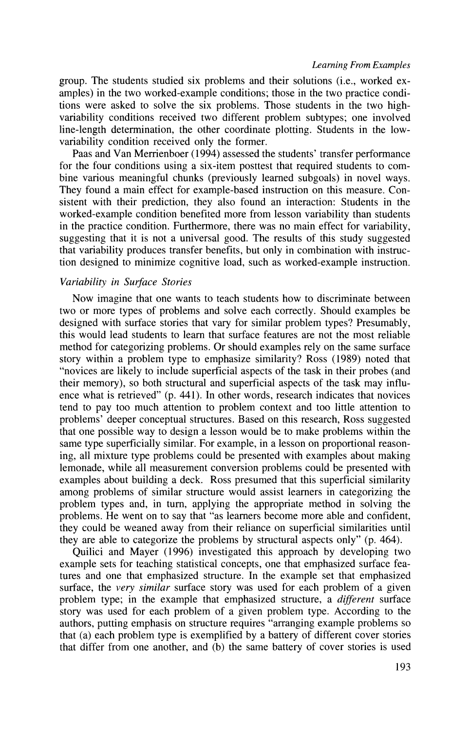**Learning From Examples** 

**group. The students studied six problems and their solutions (i.e., worked examples) in the two worked-example conditions; those in the two practice conditions were asked to solve the six problems. Those students in the two highvariability conditions received two different problem subtypes; one involved line-length determination, the other coordinate plotting. Students in the lowvariability condition received only the former.** 

**Paas and Van Merrienboer (1994) assessed the students' transfer performance for the four conditions using a six-item posttest that required students to combine various meaningful chunks (previously learned subgoals) in novel ways. They found a main effect for example-based instruction on this measure. Consistent with their prediction, they also found an interaction: Students in the worked-example condition benefited more from lesson variability than students in the practice condition. Furthermore, there was no main effect for variability, suggesting that it is not a universal good. The results of this study suggested that variability produces transfer benefits, but only in combination with instruction designed to minimize cognitive load, such as worked-example instruction.** 

# **Variability in Surface Stories**

**Now imagine that one wants to teach students how to discriminate between two or more types of problems and solve each correctly. Should examples be designed with surface stories that vary for similar problem types? Presumably, this would lead students to learn that surface features are not the most reliable method for categorizing problems. Or should examples rely on the same surface story within a problem type to emphasize similarity? Ross (1989) noted that "novices are likely to include superficial aspects of the task in their probes (and their memory), so both structural and superficial aspects of the task may influence what is retrieved" (p. 441). In other words, research indicates that novices tend to pay too much attention to problem context and too little attention to problems' deeper conceptual structures. Based on this research, Ross suggested that one possible way to design a lesson would be to make problems within the same type superficially similar. For example, in a lesson on proportional reasoning, all mixture type problems could be presented with examples about making lemonade, while all measurement conversion problems could be presented with examples about building a deck. Ross presumed that this superficial similarity among problems of similar structure would assist learners in categorizing the problem types and, in turn, applying the appropriate method in solving the problems. He went on to say that "as learners become more able and confident, they could be weaned away from their reliance on superficial similarities until they are able to categorize the problems by structural aspects only" (p. 464).** 

**Quilici and Mayer (1996) investigated this approach by developing two example sets for teaching statistical concepts, one that emphasized surface features and one that emphasized structure. In the example set that emphasized surface, the very similar surface story was used for each problem of a given problem type; in the example that emphasized structure, a different surface story was used for each problem of a given problem type. According to the authors, putting emphasis on structure requires "arranging example problems so that (a) each problem type is exemplified by a battery of different cover stories that differ from one another, and (b) the same battery of cover stories is used**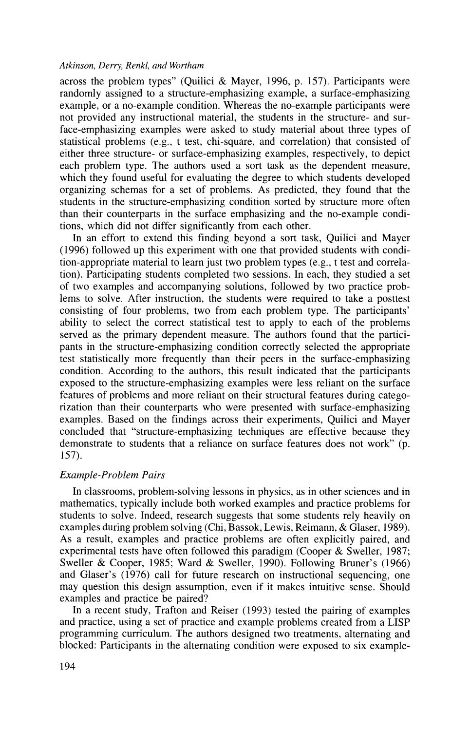**across the problem types" (Quilici & Mayer, 1996, p. 157). Participants were randomly assigned to a structure-emphasizing example, a surface-emphasizing example, or a no-example condition. Whereas the no-example participants were not provided any instructional material, the students in the structure- and surface-emphasizing examples were asked to study material about three types of statistical problems (e.g., t test, chi-square, and correlation) that consisted of either three structure- or surface-emphasizing examples, respectively, to depict each problem type. The authors used a sort task as the dependent measure, which they found useful for evaluating the degree to which students developed organizing schemas for a set of problems. As predicted, they found that the students in the structure-emphasizing condition sorted by structure more often than their counterparts in the surface emphasizing and the no-example conditions, which did not differ significantly from each other.** 

**In an effort to extend this finding beyond a sort task, Quilici and Mayer (1996) followed up this experiment with one that provided students with condition-appropriate material to learn just two problem types (e.g., t test and correlation). Participating students completed two sessions. In each, they studied a set of two examples and accompanying solutions, followed by two practice problems to solve. After instruction, the students were required to take a posttest consisting of four problems, two from each problem type. The participants' ability to select the correct statistical test to apply to each of the problems served as the primary dependent measure. The authors found that the participants in the structure-emphasizing condition correctly selected the appropriate test statistically more frequently than their peers in the surface-emphasizing condition. According to the authors, this result indicated that the participants exposed to the structure-emphasizing examples were less reliant on the surface features of problems and more reliant on their structural features during categorization than their counterparts who were presented with surface-emphasizing examples. Based on the findings across their experiments, Quilici and Mayer concluded that "structure-emphasizing techniques are effective because they demonstrate to students that a reliance on surface features does not work" (p. 157).** 

# **Example-Problem Pairs**

**In classrooms, problem-solving lessons in physics, as in other sciences and in mathematics, typically include both worked examples and practice problems for students to solve. Indeed, research suggests that some students rely heavily on examples during problem solving (Chi, Bassok, Lewis, Reimann, & Glaser, 1989). As a result, examples and practice problems are often explicitly paired, and experimental tests have often followed this paradigm (Cooper & Sweller, 1987; Sweller & Cooper, 1985; Ward & Sweller, 1990). Following Bruner's (1966) and Glaser's (1976) call for future research on instructional sequencing, one may question this design assumption, even if it makes intuitive sense. Should examples and practice be paired?** 

**In a recent study, Trafton and Reiser (1993) tested the pairing of examples and practice, using a set of practice and example problems created from a LISP programming curriculum. The authors designed two treatments, alternating and blocked: Participants in the alternating condition were exposed to six example-**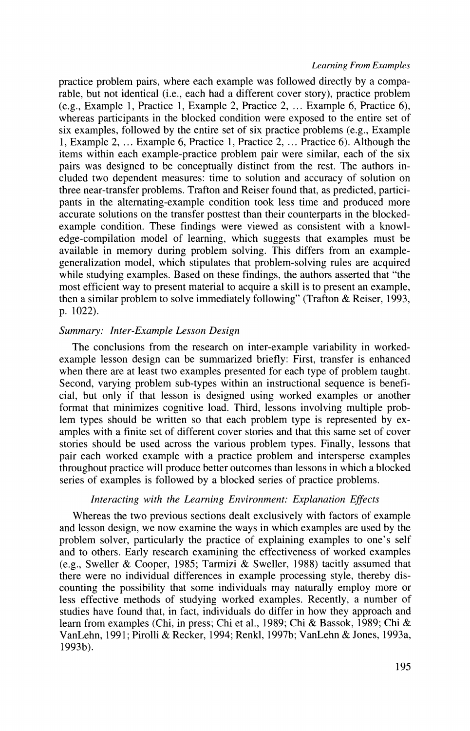**practice problem pairs, where each example was followed directly by a comparable, but not identical (i.e., each had a different cover story), practice problem (e.g., Example 1, Practice 1, Example 2, Practice 2, ... Example 6, Practice 6), whereas participants in the blocked condition were exposed to the entire set of six examples, followed by the entire set of six practice problems (e.g., Example 1, Example 2, ... Example 6, Practice 1, Practice 2, ... Practice 6). Although the items within each example-practice problem pair were similar, each of the six pairs was designed to be conceptually distinct from the rest. The authors included two dependent measures: time to solution and accuracy of solution on three near-transfer problems. Trafton and Reiser found that, as predicted, participants in the alternating-example condition took less time and produced more accurate solutions on the transfer posttest than their counterparts in the blockedexample condition. These findings were viewed as consistent with a knowledge-compilation model of learning, which suggests that examples must be available in memory during problem solving. This differs from an examplegeneralization model, which stipulates that problem-solving rules are acquired while studying examples. Based on these findings, the authors asserted that "the most efficient way to present material to acquire a skill is to present an example, then a similar problem to solve immediately following" (Trafton & Reiser, 1993, p. 1022).** 

# **Summary: Inter-Example Lesson Design**

**The conclusions from the research on inter-example variability in workedexample lesson design can be summarized briefly: First, transfer is enhanced when there are at least two examples presented for each type of problem taught. Second, varying problem sub-types within an instructional sequence is beneficial, but only if that lesson is designed using worked examples or another format that minimizes cognitive load. Third, lessons involving multiple problem types should be written so that each problem type is represented by examples with a finite set of different cover stories and that this same set of cover stories should be used across the various problem types. Finally, lessons that pair each worked example with a practice problem and intersperse examples throughout practice will produce better outcomes than lessons in which a blocked series of examples is followed by a blocked series of practice problems.** 

# **Interacting with the Learning Environment: Explanation Effects**

**Whereas the two previous sections dealt exclusively with factors of example and lesson design, we now examine the ways in which examples are used by the problem solver, particularly the practice of explaining examples to one's self and to others. Early research examining the effectiveness of worked examples (e.g., Sweller & Cooper, 1985; Tarmizi & Sweller, 1988) tacitly assumed that there were no individual differences in example processing style, thereby discounting the possibility that some individuals may naturally employ more or less effective methods of studying worked examples. Recently, a number of studies have found that, in fact, individuals do differ in how they approach and learn from examples (Chi, in press; Chi et al., 1989; Chi & Bassok, 1989; Chi & VanLehn, 1991; Pirolli & Recker, 1994; Renkl, 1997b; VanLehn & Jones, 1993a, 1993b).**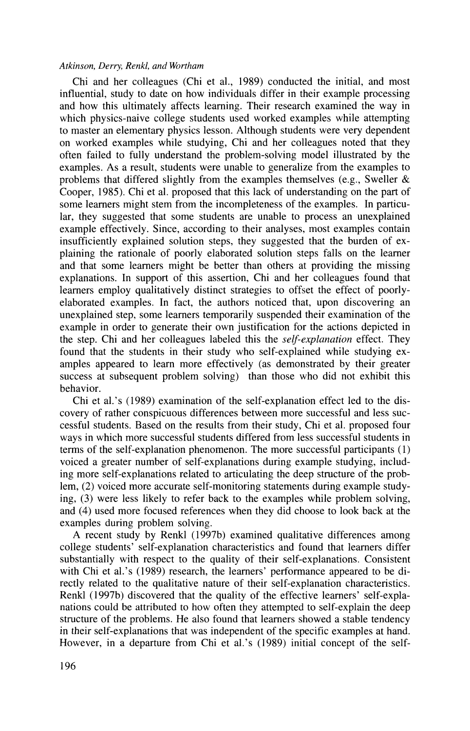**Chi and her colleagues (Chi et al., 1989) conducted the initial, and most influential, study to date on how individuals differ in their example processing and how this ultimately affects learning. Their research examined the way in which physics-naive college students used worked examples while attempting to master an elementary physics lesson. Although students were very dependent on worked examples while studying, Chi and her colleagues noted that they often failed to fully understand the problem-solving model illustrated by the examples. As a result, students were unable to generalize from the examples to problems that differed slightly from the examples themselves (e.g., Sweller & Cooper, 1985). Chi et al. proposed that this lack of understanding on the part of some learners might stem from the incompleteness of the examples. In particular, they suggested that some students are unable to process an unexplained example effectively. Since, according to their analyses, most examples contain insufficiently explained solution steps, they suggested that the burden of explaining the rationale of poorly elaborated solution steps falls on the learner and that some learners might be better than others at providing the missing explanations. In support of this assertion, Chi and her colleagues found that learners employ qualitatively distinct strategies to offset the effect of poorlyelaborated examples. In fact, the authors noticed that, upon discovering an unexplained step, some learners temporarily suspended their examination of the example in order to generate their own justification for the actions depicted in the step. Chi and her colleagues labeled this the self-explanation effect. They found that the students in their study who self-explained while studying examples appeared to learn more effectively (as demonstrated by their greater success at subsequent problem solving) than those who did not exhibit this behavior.** 

**Chi et al.'s (1989) examination of the self-explanation effect led to the discovery of rather conspicuous differences between more successful and less successful students. Based on the results from their study, Chi et al. proposed four ways in which more successful students differed from less successful students in terms of the self-explanation phenomenon. The more successful participants (1) voiced a greater number of self-explanations during example studying, including more self-explanations related to articulating the deep structure of the problem, (2) voiced more accurate self-monitoring statements during example studying, (3) were less likely to refer back to the examples while problem solving, and (4) used more focused references when they did choose to look back at the examples during problem solving.** 

**A recent study by Renkl (1997b) examined qualitative differences among college students' self-explanation characteristics and found that learners differ substantially with respect to the quality of their self-explanations. Consistent with Chi et al.'s (1989) research, the learners' performance appeared to be directly related to the qualitative nature of their self-explanation characteristics. Renkl (1997b) discovered that the quality of the effective learners' self-explanations could be attributed to how often they attempted to self-explain the deep structure of the problems. He also found that learners showed a stable tendency in their self-explanations that was independent of the specific examples at hand. However, in a departure from Chi et al.'s (1989) initial concept of the self-**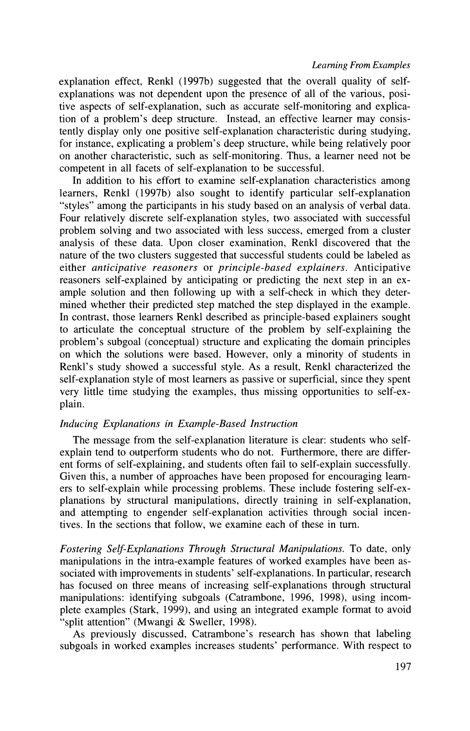**explanation effect, Renkl (1997b) suggested that the overall quality of selfexplanations was not dependent upon the presence of all of the various, positive aspects of self-explanation, such as accurate self-monitoring and explication of a problem's deep structure. Instead, an effective learner may consistently display only one positive self-explanation characteristic during studying, for instance, explicating a problem's deep structure, while being relatively poor on another characteristic, such as self-monitoring. Thus, a learner need not be competent in all facets of self-explanation to be successful.** 

**In addition to his effort to examine self-explanation characteristics among learners, Renkl (1997b) also sought to identify particular self-explanation "styles" among the participants in his study based on an analysis of verbal data. Four relatively discrete self-explanation styles, two associated with successful problem solving and two associated with less success, emerged from a cluster analysis of these data. Upon closer examination, Renkl discovered that the nature of the two clusters suggested that successful students could be labeled as either anticipative reasoners or principle-based explainers. Anticipative reasoners self-explained by anticipating or predicting the next step in an example solution and then following up with a self-check in which they determined whether their predicted step matched the step displayed in the example. In contrast, those learners Renkl described as principle-based explainers sought to articulate the conceptual structure of the problem by self-explaining the problem's subgoal (conceptual) structure and explicating the domain principles on which the solutions were based. However, only a minority of students in Renkl's study showed a successful style. As a result, Renkl characterized the self-explanation style of most learners as passive or superficial, since they spent very little time studying the examples, thus missing opportunities to self-explain.** 

# **Inducing Explanations in Example-Based Instruction**

**The message from the self-explanation literature is clear: students who selfexplain tend to outperform students who do not. Furthermore, there are different forms of self-explaining, and students often fail to self-explain successfully. Given this, a number of approaches have been proposed for encouraging learners to self-explain while processing problems. These include fostering self-explanations by structural manipulations, directly training in self-explanation, and attempting to engender self-explanation activities through social incentives. In the sections that follow, we examine each of these in turn.** 

**Fostering Self-Explanations Through Structural Manipulations. To date, only manipulations in the intra-example features of worked examples have been associated with improvements in students' self-explanations. In particular, research has focused on three means of increasing self-explanations through structural manipulations: identifying subgoals (Catrambone, 1996, 1998), using incomplete examples (Stark, 1999), and using an integrated example format to avoid "split attention" (Mwangi & Sweller, 1998).** 

**As previously discussed, Catrambone's research has shown that labeling subgoals in worked examples increases students' performance. With respect to**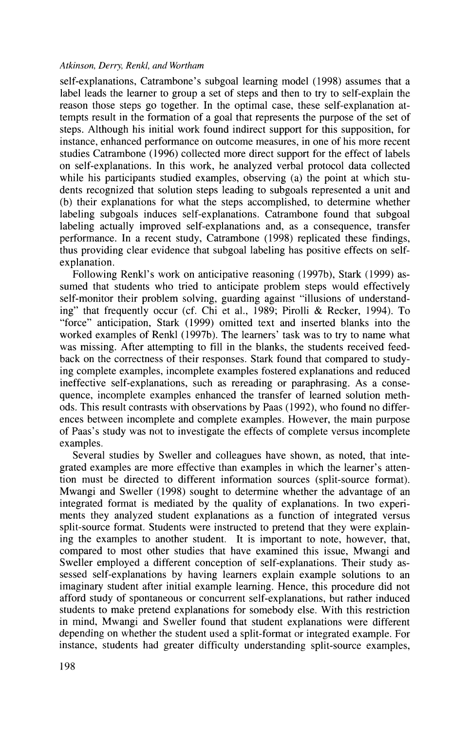**self-explanations, Catrambone's subgoal learning model (1998) assumes that a label leads the learner to group a set of steps and then to try to self-explain the reason those steps go together. In the optimal case, these self-explanation attempts result in the formation of a goal that represents the purpose of the set of steps. Although his initial work found indirect support for this supposition, for instance, enhanced performance on outcome measures, in one of his more recent studies Catrambone (1996) collected more direct support for the effect of labels on self-explanations. In this work, he analyzed verbal protocol data collected while his participants studied examples, observing (a) the point at which students recognized that solution steps leading to subgoals represented a unit and (b) their explanations for what the steps accomplished, to determine whether labeling subgoals induces self-explanations. Catrambone found that subgoal labeling actually improved self-explanations and, as a consequence, transfer performance. In a recent study, Catrambone (1998) replicated these findings, thus providing clear evidence that subgoal labeling has positive effects on selfexplanation.** 

**Following Renkl's work on anticipative reasoning (1997b), Stark (1999) assumed that students who tried to anticipate problem steps would effectively self-monitor their problem solving, guarding against "illusions of understanding" that frequently occur (cf. Chi et al., 1989; Pirolli & Recker, 1994). To "force" anticipation, Stark (1999) omitted text and inserted blanks into the worked examples of Renkl (1997b). The learners' task was to try to name what was missing. After attempting to fill in the blanks, the students received feedback on the correctness of their responses. Stark found that compared to studying complete examples, incomplete examples fostered explanations and reduced ineffective self-explanations, such as rereading or paraphrasing. As a consequence, incomplete examples enhanced the transfer of learned solution methods. This result contrasts with observations by Paas (1992), who found no differences between incomplete and complete examples. However, the main purpose of Paas's study was not to investigate the effects of complete versus incomplete examples.** 

**Several studies by Sweller and colleagues have shown, as noted, that integrated examples are more effective than examples in which the learner's attention must be directed to different information sources (split-source format). Mwangi and Sweller (1998) sought to determine whether the advantage of an integrated format is mediated by the quality of explanations. In two experiments they analyzed student explanations as a function of integrated versus split-source format. Students were instructed to pretend that they were explaining the examples to another student. It is important to note, however, that, compared to most other studies that have examined this issue, Mwangi and Sweller employed a different conception of self-explanations. Their study assessed self-explanations by having learners explain example solutions to an imaginary student after initial example learning. Hence, this procedure did not afford study of spontaneous or concurrent self-explanations, but rather induced students to make pretend explanations for somebody else. With this restriction in mind, Mwangi and Sweller found that student explanations were different depending on whether the student used a split-format or integrated example. For instance, students had greater difficulty understanding split-source examples,**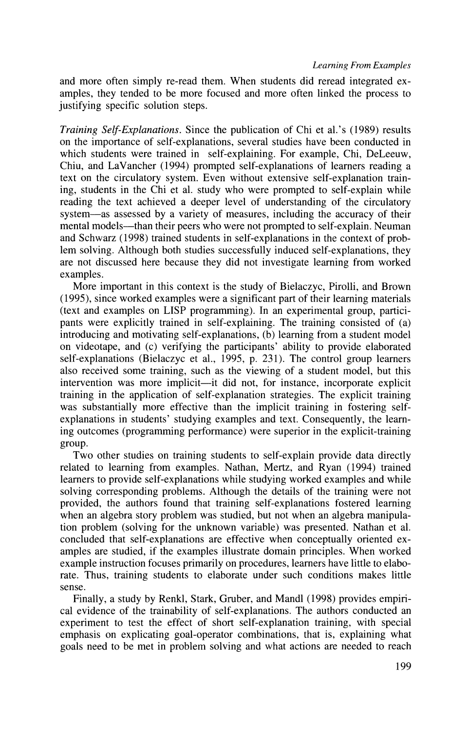**and more often simply re-read them. When students did reread integrated examples, they tended to be more focused and more often linked the process to justifying specific solution steps.** 

**Training Self-Explanations. Since the publication of Chi et al.'s (1989) results on the importance of self-explanations, several studies have been conducted in which students were trained in self-explaining. For example, Chi, DeLeeuw, Chiu, and LaVancher (1994) prompted self-explanations of learners reading a text on the circulatory system. Even without extensive self-explanation training, students in the Chi et al. study who were prompted to self-explain while reading the text achieved a deeper level of understanding of the circulatory system-as assessed by a variety of measures, including the accuracy of their**  mental models—than their peers who were not prompted to self-explain. Neuman **and Schwarz (1998) trained students in self-explanations in the context of problem solving. Although both studies successfully induced self-explanations, they are not discussed here because they did not investigate learning from worked examples.** 

**More important in this context is the study of Bielaczyc, Pirolli, and Brown (1995), since worked examples were a significant part of their learning materials (text and examples on LISP programming). In an experimental group, participants were explicitly trained in self-explaining. The training consisted of (a) introducing and motivating self-explanations, (b) learning from a student model on videotape, and (c) verifying the participants' ability to provide elaborated self-explanations (Bielaczyc et al., 1995, p. 231). The control group learners also received some training, such as the viewing of a student model, but this**  intervention was more implicit—it did not, for instance, incorporate explicit **training in the application of self-explanation strategies. The explicit training was substantially more effective than the implicit training in fostering selfexplanations in students' studying examples and text. Consequently, the learning outcomes (programming performance) were superior in the explicit-training group.** 

**Two other studies on training students to self-explain provide data directly related to learning from examples. Nathan, Mertz, and Ryan (1994) trained learners to provide self-explanations while studying worked examples and while solving corresponding problems. Although the details of the training were not provided, the authors found that training self-explanations fostered learning when an algebra story problem was studied, but not when an algebra manipulation problem (solving for the unknown variable) was presented. Nathan et al. concluded that self-explanations are effective when conceptually oriented examples are studied, if the examples illustrate domain principles. When worked example instruction focuses primarily on procedures, learners have little to elaborate. Thus, training students to elaborate under such conditions makes little sense.** 

**Finally, a study by Renkl, Stark, Gruber, and Mandl (1998) provides empirical evidence of the trainability of self-explanations. The authors conducted an experiment to test the effect of short self-explanation training, with special emphasis on explicating goal-operator combinations, that is, explaining what goals need to be met in problem solving and what actions are needed to reach**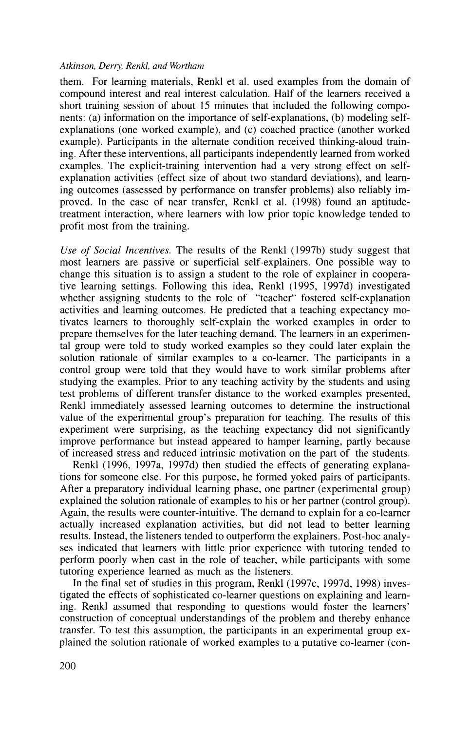**them. For learning materials, Renkl et al. used examples from the domain of compound interest and real interest calculation. Half of the learners received a short training session of about 15 minutes that included the following components: (a) information on the importance of self-explanations, (b) modeling selfexplanations (one worked example), and (c) coached practice (another worked example). Participants in the alternate condition received thinking-aloud training. After these interventions, all participants independently learned from worked examples. The explicit-training intervention had a very strong effect on selfexplanation activities (effect size of about two standard deviations), and learning outcomes (assessed by performance on transfer problems) also reliably improved. In the case of near transfer, Renkl et al. (1998) found an aptitudetreatment interaction, where learners with low prior topic knowledge tended to profit most from the training.** 

**Use of Social Incentives. The results of the Renkl (1997b) study suggest that most learners are passive or superficial self-explainers. One possible way to change this situation is to assign a student to the role of explainer in cooperative learning settings. Following this idea, Renkl (1995, 1997d) investigated whether assigning students to the role of "teacher" fostered self-explanation activities and learning outcomes. He predicted that a teaching expectancy motivates learners to thoroughly self-explain the worked examples in order to prepare themselves for the later teaching demand. The learners in an experimental group were told to study worked examples so they could later explain the solution rationale of similar examples to a co-learner. The participants in a control group were told that they would have to work similar problems after studying the examples. Prior to any teaching activity by the students and using test problems of different transfer distance to the worked examples presented, Renkl immediately assessed learning outcomes to determine the instructional value of the experimental group's preparation for teaching. The results of this experiment were surprising, as the teaching expectancy did not significantly improve performance but instead appeared to hamper learning, partly because of increased stress and reduced intrinsic motivation on the part of the students.** 

**Renkl (1996, 1997a, 1997d) then studied the effects of generating explanations for someone else. For this purpose, he formed yoked pairs of participants. After a preparatory individual learning phase, one partner (experimental group) explained the solution rationale of examples to his or her partner (control group). Again, the results were counter-intuitive. The demand to explain for a co-learner actually increased explanation activities, but did not lead to better learning results. Instead, the listeners tended to outperform the explainers. Post-hoc analyses indicated that learners with little prior experience with tutoring tended to perform poorly when cast in the role of teacher, while participants with some tutoring experience learned as much as the listeners.** 

**In the final set of studies in this program, Renkl (1997c, 1997d, 1998) investigated the effects of sophisticated co-learner questions on explaining and learning. Renkl assumed that responding to questions would foster the learners' construction of conceptual understandings of the problem and thereby enhance transfer. To test this assumption, the participants in an experimental group explained the solution rationale of worked examples to a putative co-learner (con-**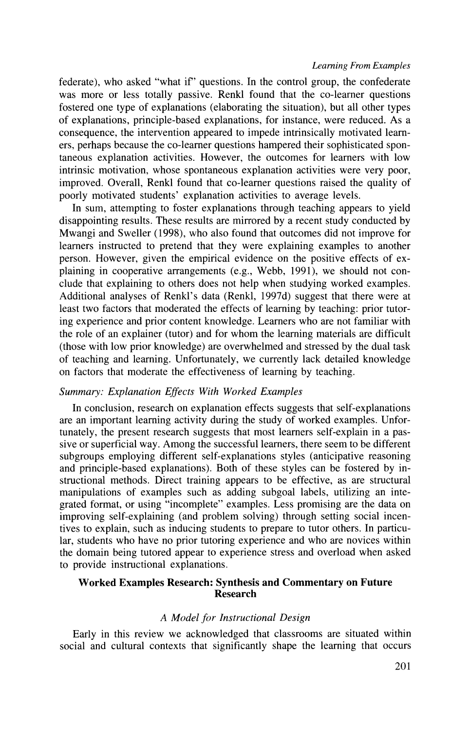**federate), who asked "what if' questions. In the control group, the confederate was more or less totally passive. Renkl found that the co-learner questions fostered one type of explanations (elaborating the situation), but all other types of explanations, principle-based explanations, for instance, were reduced. As a consequence, the intervention appeared to impede intrinsically motivated learners, perhaps because the co-learner questions hampered their sophisticated spontaneous explanation activities. However, the outcomes for learners with low intrinsic motivation, whose spontaneous explanation activities were very poor, improved. Overall, Renkl found that co-learner questions raised the quality of poorly motivated students' explanation activities to average levels.** 

**In sum, attempting to foster explanations through teaching appears to yield disappointing results. These results are mirrored by a recent study conducted by Mwangi and Sweller (1998), who also found that outcomes did not improve for learners instructed to pretend that they were explaining examples to another person. However, given the empirical evidence on the positive effects of explaining in cooperative arrangements (e.g., Webb, 1991), we should not conclude that explaining to others does not help when studying worked examples. Additional analyses of Renkl's data (Renkl, 1997d) suggest that there were at least two factors that moderated the effects of learning by teaching: prior tutoring experience and prior content knowledge. Learners who are not familiar with the role of an explainer (tutor) and for whom the learning materials are difficult (those with low prior knowledge) are overwhelmed and stressed by the dual task of teaching and learning. Unfortunately, we currently lack detailed knowledge on factors that moderate the effectiveness of learning by teaching.** 

## **Summary: Explanation Effects With Worked Examples**

**In conclusion, research on explanation effects suggests that self-explanations are an important learning activity during the study of worked examples. Unfortunately, the present research suggests that most learners self-explain in a passive or superficial way. Among the successful learners, there seem to be different subgroups employing different self-explanations styles (anticipative reasoning and principle-based explanations). Both of these styles can be fostered by instructional methods. Direct training appears to be effective, as are structural manipulations of examples such as adding subgoal labels, utilizing an integrated format, or using "incomplete" examples. Less promising are the data on improving self-explaining (and problem solving) through setting social incentives to explain, such as inducing students to prepare to tutor others. In particular, students who have no prior tutoring experience and who are novices within the domain being tutored appear to experience stress and overload when asked to provide instructional explanations.** 

# **Worked Examples Research: Synthesis and Commentary on Future Research**

## **A Model for Instructional Design**

**Early in this review we acknowledged that classrooms are situated within social and cultural contexts that significantly shape the learning that occurs**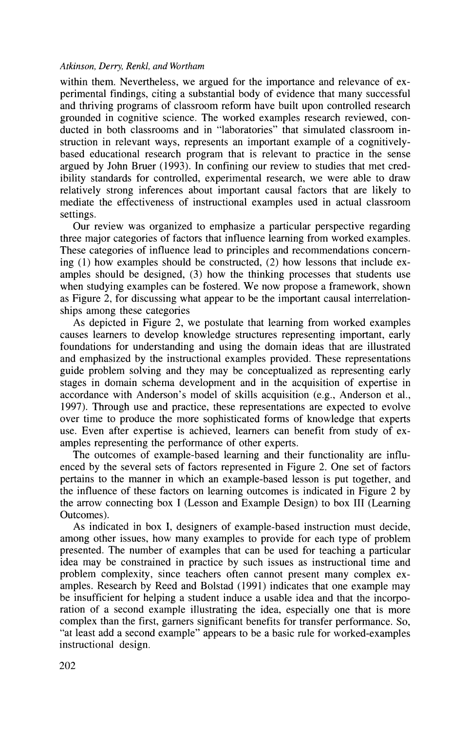**within them. Nevertheless, we argued for the importance and relevance of experimental findings, citing a substantial body of evidence that many successful and thriving programs of classroom reform have built upon controlled research grounded in cognitive science. The worked examples research reviewed, conducted in both classrooms and in "laboratories" that simulated classroom instruction in relevant ways, represents an important example of a cognitivelybased educational research program that is relevant to practice in the sense argued by John Bruer (1993). In confining our review to studies that met credibility standards for controlled, experimental research, we were able to draw relatively strong inferences about important causal factors that are likely to mediate the effectiveness of instructional examples used in actual classroom settings.** 

**Our review was organized to emphasize a particular perspective regarding three major categories of factors that influence learning from worked examples. These categories of influence lead to principles and recommendations concerning (1) how examples should be constructed, (2) how lessons that include examples should be designed, (3) how the thinking processes that students use when studying examples can be fostered. We now propose a framework, shown as Figure 2, for discussing what appear to be the important causal interrelationships among these categories** 

**As depicted in Figure 2, we postulate that learning from worked examples causes learners to develop knowledge structures representing important, early foundations for understanding and using the domain ideas that are illustrated and emphasized by the instructional examples provided. These representations guide problem solving and they may be conceptualized as representing early stages in domain schema development and in the acquisition of expertise in accordance with Anderson's model of skills acquisition (e.g., Anderson et al., 1997). Through use and practice, these representations are expected to evolve over time to produce the more sophisticated forms of knowledge that experts use. Even after expertise is achieved, learners can benefit from study of examples representing the performance of other experts.** 

**The outcomes of example-based learning and their functionality are influenced by the several sets of factors represented in Figure 2. One set of factors pertains to the manner in which an example-based lesson is put together, and the influence of these factors on learning outcomes is indicated in Figure 2 by the arrow connecting box I (Lesson and Example Design) to box III (Learning Outcomes).** 

**As indicated in box I, designers of example-based instruction must decide, among other issues, how many examples to provide for each type of problem presented. The number of examples that can be used for teaching a particular idea may be constrained in practice by such issues as instructional time and problem complexity, since teachers often cannot present many complex examples. Research by Reed and Bolstad (1991) indicates that one example may be insufficient for helping a student induce a usable idea and that the incorporation of a second example illustrating the idea, especially one that is more complex than the first, garners significant benefits for transfer performance. So, "at least add a second example" appears to be a basic rule for worked-examples instructional design.**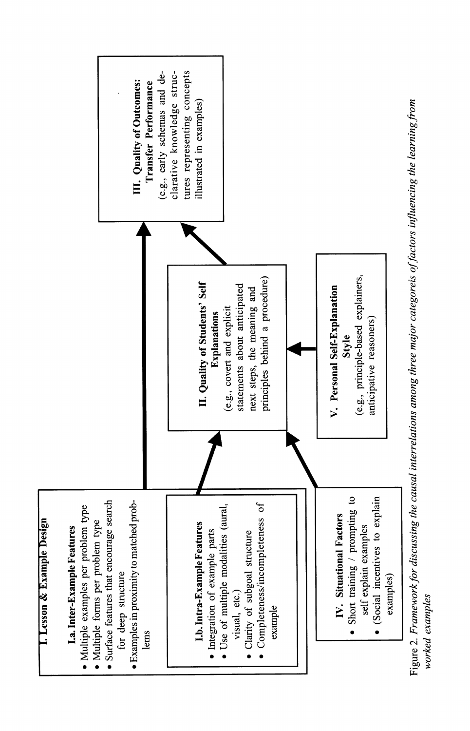

worked examples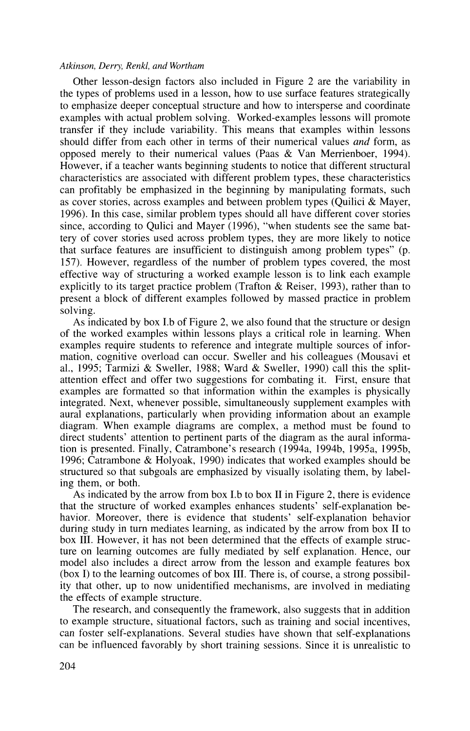**Other lesson-design factors also included in Figure 2 are the variability in the types of problems used in a lesson, how to use surface features strategically to emphasize deeper conceptual structure and how to intersperse and coordinate examples with actual problem solving. Worked-examples lessons will promote transfer if they include variability. This means that examples within lessons should differ from each other in terms of their numerical values and form, as opposed merely to their numerical values (Paas & Van Merrienboer, 1994). However, if a teacher wants beginning students to notice that different structural characteristics are associated with different problem types, these characteristics can profitably be emphasized in the beginning by manipulating formats, such as cover stories, across examples and between problem types (Quilici & Mayer, 1996). In this case, similar problem types should all have different cover stories since, according to Qulici and Mayer (1996), "when students see the same battery of cover stories used across problem types, they are more likely to notice that surface features are insufficient to distinguish among problem types" (p. 157). However, regardless of the number of problem types covered, the most effective way of structuring a worked example lesson is to link each example explicitly to its target practice problem (Trafton & Reiser, 1993), rather than to present a block of different examples followed by massed practice in problem solving.** 

**As indicated by box I.b of Figure 2, we also found that the structure or design of the worked examples within lessons plays a critical role in learning. When examples require students to reference and integrate multiple sources of information, cognitive overload can occur. Sweller and his colleagues (Mousavi et al., 1995; Tarmizi & Sweller, 1988; Ward & Sweller, 1990) call this the splitattention effect and offer two suggestions for combating it. First, ensure that examples are formatted so that information within the examples is physically integrated. Next, whenever possible, simultaneously supplement examples with aural explanations, particularly when providing information about an example diagram. When example diagrams are complex, a method must be found to direct students' attention to pertinent parts of the diagram as the aural information is presented. Finally, Catrambone's research (1994a, 1994b, 1995a, 1995b, 1996; Catrambone & Holyoak, 1990) indicates that worked examples should be structured so that subgoals are emphasized by visually isolating them, by labeling them, or both.** 

**As indicated by the arrow from box I.b to box II in Figure 2, there is evidence that the structure of worked examples enhances students' self-explanation behavior. Moreover, there is evidence that students' self-explanation behavior during study in turn mediates learning, as indicated by the arrow from box II to box III. However, it has not been determined that the effects of example structure on learning outcomes are fully mediated by self explanation. Hence, our model also includes a direct arrow from the lesson and example features box (box I) to the learning outcomes of box III. There is, of course, a strong possibility that other, up to now unidentified mechanisms, are involved in mediating the effects of example structure.** 

**The research, and consequently the framework, also suggests that in addition to example structure, situational factors, such as training and social incentives, can foster self-explanations. Several studies have shown that self-explanations can be influenced favorably by short training sessions. Since it is unrealistic to**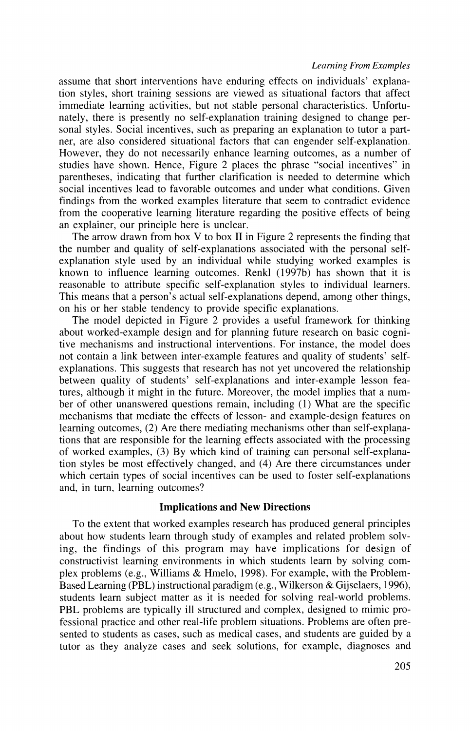#### **Learning From Examples**

**assume that short interventions have enduring effects on individuals' explanation styles, short training sessions are viewed as situational factors that affect immediate learning activities, but not stable personal characteristics. Unfortunately, there is presently no self-explanation training designed to change personal styles. Social incentives, such as preparing an explanation to tutor a partner, are also considered situational factors that can engender self-explanation. However, they do not necessarily enhance learning outcomes, as a number of studies have shown. Hence, Figure 2 places the phrase "social incentives" in parentheses, indicating that further clarification is needed to determine which social incentives lead to favorable outcomes and under what conditions. Given findings from the worked examples literature that seem to contradict evidence from the cooperative learning literature regarding the positive effects of being an explainer, our principle here is unclear.** 

**The arrow drawn from box V to box II in Figure 2 represents the finding that the number and quality of self-explanations associated with the personal selfexplanation style used by an individual while studying worked examples is known to influence learning outcomes. Renkl (1997b) has shown that it is reasonable to attribute specific self-explanation styles to individual learners. This means that a person's actual self-explanations depend, among other things, on his or her stable tendency to provide specific explanations.** 

**The model depicted in Figure 2 provides a useful framework for thinking about worked-example design and for planning future research on basic cognitive mechanisms and instructional interventions. For instance, the model does not contain a link between inter-example features and quality of students' selfexplanations. This suggests that research has not yet uncovered the relationship between quality of students' self-explanations and inter-example lesson features, although it might in the future. Moreover, the model implies that a number of other unanswered questions remain, including (1) What are the specific mechanisms that mediate the effects of lesson- and example-design features on learning outcomes, (2) Are there mediating mechanisms other than self-explanations that are responsible for the learning effects associated with the processing of worked examples, (3) By which kind of training can personal self-explanation styles be most effectively changed, and (4) Are there circumstances under which certain types of social incentives can be used to foster self-explanations and, in turn, learning outcomes?** 

#### **Implications and New Directions**

**To the extent that worked examples research has produced general principles about how students learn through study of examples and related problem solving, the findings of this program may have implications for design of constructivist learning environments in which students learn by solving complex problems (e.g., Williams & Hmelo, 1998). For example, with the Problem-Based Learning (PBL) instructional paradigm (e.g., Wilkerson & Gijselaers, 1996), students learn subject matter as it is needed for solving real-world problems.**  PBL problems are typically ill structured and complex, designed to mimic pro**fessional practice and other real-life problem situations. Problems are often presented to students as cases, such as medical cases, and students are guided by a tutor as they analyze cases and seek solutions, for example, diagnoses and**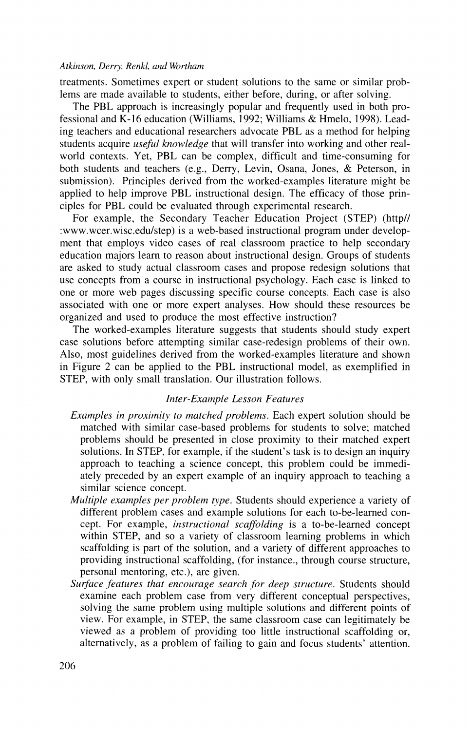**treatments. Sometimes expert or student solutions to the same or similar problems are made available to students, either before, during, or after solving.** 

**The PBL approach is increasingly popular and frequently used in both professional and K-16 education (Williams, 1992; Williams & Hmelo, 1998). Leading teachers and educational researchers advocate PBL as a method for helping students acquire useful knowledge that will transfer into working and other realworld contexts. Yet, PBL can be complex, difficult and time-consuming for both students and teachers (e.g., Derry, Levin, Osana, Jones, & Peterson, in submission). Principles derived from the worked-examples literature might be applied to help improve PBL instructional design. The efficacy of those principles for PBL could be evaluated through experimental research.** 

**For example, the Secondary Teacher Education Project (STEP) (http// :www.wcer.wisc.edu/step) is a web-based instructional program under development that employs video cases of real classroom practice to help secondary education majors learn to reason about instructional design. Groups of students are asked to study actual classroom cases and propose redesign solutions that use concepts from a course in instructional psychology. Each case is linked to one or more web pages discussing specific course concepts. Each case is also associated with one or more expert analyses. How should these resources be organized and used to produce the most effective instruction?** 

**The worked-examples literature suggests that students should study expert case solutions before attempting similar case-redesign problems of their own. Also, most guidelines derived from the worked-examples literature and shown in Figure 2 can be applied to the PBL instructional model, as exemplified in STEP, with only small translation. Our illustration follows.** 

# **Inter-Example Lesson Features**

- **Examples in proximity to matched problems. Each expert solution should be matched with similar case-based problems for students to solve; matched problems should be presented in close proximity to their matched expert solutions. In STEP, for example, if the student's task is to design an inquiry approach to teaching a science concept, this problem could be immediately preceded by an expert example of an inquiry approach to teaching a similar science concept.**
- **Multiple examples per problem type. Students should experience a variety of different problem cases and example solutions for each to-be-learned concept. For example, instructional scaffolding is a to-be-learned concept within STEP, and so a variety of classroom learning problems in which scaffolding is part of the solution, and a variety of different approaches to providing instructional scaffolding, (for instance., through course structure, personal mentoring, etc.), are given.**
- **Surface features that encourage search for deep structure. Students should examine each problem case from very different conceptual perspectives, solving the same problem using multiple solutions and different points of view. For example, in STEP, the same classroom case can legitimately be viewed as a problem of providing too little instructional scaffolding or, alternatively, as a problem of failing to gain and focus students' attention.**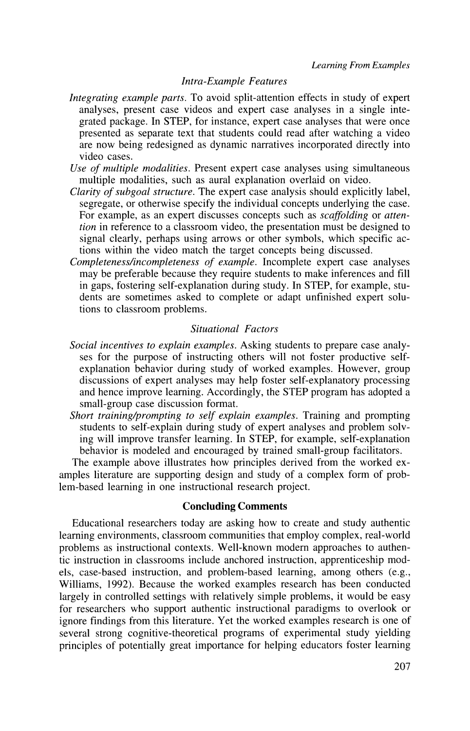## **Intra-Example Features**

- **Integrating example parts. To avoid split-attention effects in study of expert analyses, present case videos and expert case analyses in a single integrated package. In STEP, for instance, expert case analyses that were once presented as separate text that students could read after watching a video are now being redesigned as dynamic narratives incorporated directly into video cases.**
- **Use of multiple modalities. Present expert case analyses using simultaneous multiple modalities, such as aural explanation overlaid on video.**
- **Clarity of subgoal structure. The expert case analysis should explicitly label, segregate, or otherwise specify the individual concepts underlying the case. For example, as an expert discusses concepts such as scaffolding or attention in reference to a classroom video, the presentation must be designed to signal clearly, perhaps using arrows or other symbols, which specific actions within the video match the target concepts being discussed.**
- **Completeness/incompleteness of example. Incomplete expert case analyses may be preferable because they require students to make inferences and fill in gaps, fostering self-explanation during study. In STEP, for example, students are sometimes asked to complete or adapt unfinished expert solutions to classroom problems.**

# **Situational Factors**

- **Social incentives to explain examples. Asking students to prepare case analyses for the purpose of instructing others will not foster productive selfexplanation behavior during study of worked examples. However, group discussions of expert analyses may help foster self-explanatory processing and hence improve learning. Accordingly, the STEP program has adopted a small-group case discussion format.**
- **Short training/prompting to self explain examples. Training and prompting students to self-explain during study of expert analyses and problem solving will improve transfer learning. In STEP, for example, self-explanation behavior is modeled and encouraged by trained small-group facilitators.**

**The example above illustrates how principles derived from the worked examples literature are supporting design and study of a complex form of problem-based learning in one instructional research project.** 

## **Concluding Comments**

**Educational researchers today are asking how to create and study authentic learning environments, classroom communities that employ complex, real-world problems as instructional contexts. Well-known modern approaches to authentic instruction in classrooms include anchored instruction, apprenticeship models, case-based instruction, and problem-based learning, among others (e.g., Williams, 1992). Because the worked examples research has been conducted largely in controlled settings with relatively simple problems, it would be easy for researchers who support authentic instructional paradigms to overlook or ignore findings from this literature. Yet the worked examples research is one of several strong cognitive-theoretical programs of experimental study yielding principles of potentially great importance for helping educators foster learning**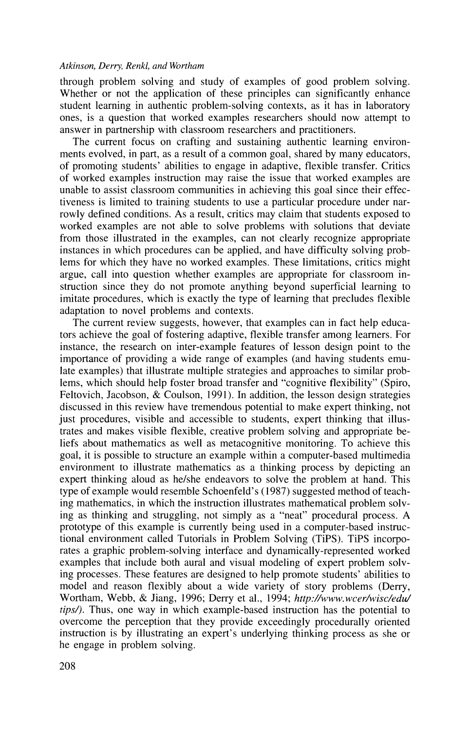**through problem solving and study of examples of good problem solving. Whether or not the application of these principles can significantly enhance student learning in authentic problem-solving contexts, as it has in laboratory ones, is a question that worked examples researchers should now attempt to answer in partnership with classroom researchers and practitioners.** 

**The current focus on crafting and sustaining authentic learning environments evolved, in part, as a result of a common goal, shared by many educators, of promoting students' abilities to engage in adaptive, flexible transfer. Critics of worked examples instruction may raise the issue that worked examples are unable to assist classroom communities in achieving this goal since their effectiveness is limited to training students to use a particular procedure under narrowly defined conditions. As a result, critics may claim that students exposed to worked examples are not able to solve problems with solutions that deviate from those illustrated in the examples, can not clearly recognize appropriate instances in which procedures can be applied, and have difficulty solving problems for which they have no worked examples. These limitations, critics might argue, call into question whether examples are appropriate for classroom instruction since they do not promote anything beyond superficial learning to imitate procedures, which is exactly the type of learning that precludes flexible adaptation to novel problems and contexts.** 

**The current review suggests, however, that examples can in fact help educators achieve the goal of fostering adaptive, flexible transfer among learners. For instance, the research on inter-example features of lesson design point to the importance of providing a wide range of examples (and having students emulate examples) that illustrate multiple strategies and approaches to similar problems, which should help foster broad transfer and "cognitive flexibility" (Spiro, Feltovich, Jacobson, & Coulson, 1991). In addition, the lesson design strategies discussed in this review have tremendous potential to make expert thinking, not just procedures, visible and accessible to students, expert thinking that illustrates and makes visible flexible, creative problem solving and appropriate beliefs about mathematics as well as metacognitive monitoring. To achieve this goal, it is possible to structure an example within a computer-based multimedia environment to illustrate mathematics as a thinking process by depicting an expert thinking aloud as he/she endeavors to solve the problem at hand. This type of example would resemble Schoenfeld's (1987) suggested method of teaching mathematics, in which the instruction illustrates mathematical problem solving as thinking and struggling, not simply as a "neat" procedural process. A prototype of this example is currently being used in a computer-based instructional environment called Tutorials in Problem Solving (TiPS). TiPS incorporates a graphic problem-solving interface and dynamically-represented worked examples that include both aural and visual modeling of expert problem solving processes. These features are designed to help promote students' abilities to model and reason flexibly about a wide variety of story problems (Derry, Wortham, Webb, & Jiang, 1996; Derry et al., 1994; http://www.wcer/wisc/edu/ tips/). Thus, one way in which example-based instruction has the potential to overcome the perception that they provide exceedingly procedurally oriented instruction is by illustrating an expert's underlying thinking process as she or he engage in problem solving.**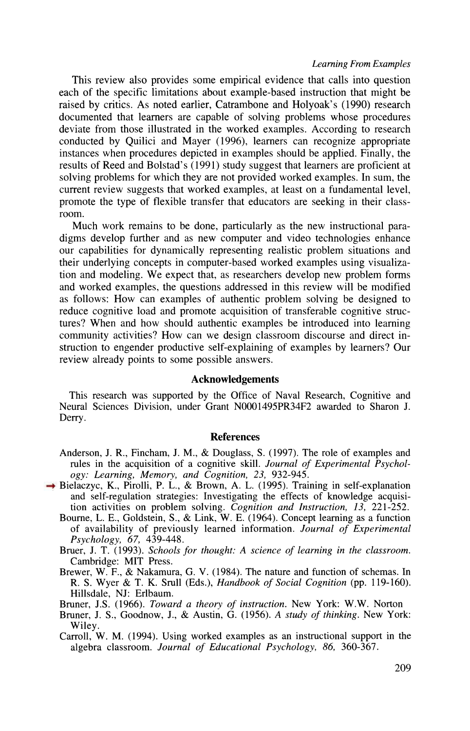#### **Learning From Examples**

**This review also provides some empirical evidence that calls into question each of the specific limitations about example-based instruction that might be raised by critics. As noted earlier, Catrambone and Holyoak's (1990) research documented that learners are capable of solving problems whose procedures deviate from those illustrated in the worked examples. According to research conducted by Quilici and Mayer (1996), learners can recognize appropriate instances when procedures depicted in examples should be applied. Finally, the results of Reed and Bolstad's (1991) study suggest that learners are proficient at solving problems for which they are not provided worked examples. In sum, the current review suggests that worked examples, at least on a fundamental level, promote the type of flexible transfer that educators are seeking in their classroom.** 

**Much work remains to be done, particularly as the new instructional paradigms develop further and as new computer and video technologies enhance our capabilities for dynamically representing realistic problem situations and their underlying concepts in computer-based worked examples using visualization and modeling. We expect that, as researchers develop new problem forms and worked examples, the questions addressed in this review will be modified as follows: How can examples of authentic problem solving be designed to reduce cognitive load and promote acquisition of transferable cognitive structures? When and how should authentic examples be introduced into learning community activities? How can we design classroom discourse and direct instruction to engender productive self-explaining of examples by learners? Our review already points to some possible answers.** 

## **Acknowledgements**

**This research was supported by the Office of Naval Research, Cognitive and Neural Sciences Division, under Grant N0001495PR34F2 awarded to Sharon J. Derry.** 

#### **References**

- **Anderson, J. R., Fincham, J. M., & Douglass, S. (1997). The role of examples and rules in the acquisition of a cognitive skill. Journal of Experimental Psychology: Learning, Memory, and Cognition, 23, 932-945.**
- **Bielaczyc, K., Pirolli, P. L., & Brown, A. L. (1995). Training in self-explanation and self-regulation strategies: Investigating the effects of knowledge acquisition activities on problem solving. Cognition and Instruction, 13, 221-252.** 
	- **Bourne, L. E., Goldstein, S., & Link, W. E. (1964). Concept learning as a function of availability of previously learned information. Journal of Experimental Psychology, 67, 439-448.**
	- **Bruer, J. T. (1993). Schools for thought: A science of learning in the classroom. Cambridge: MIT Press.**
	- **Brewer, W. F., & Nakamura, G. V. (1984). The nature and function of schemas. In R. S. Wyer & T. K. Srull (Eds.), Handbook of Social Cognition (pp. 119-160). Hillsdale, NJ: Erlbaum.**
	- **Bruner, J.S. (1966). Toward a theory of instruction. New York: W.W. Norton**
	- **Bruner, J. S., Goodnow, J., & Austin, G. (1956). A study of thinking. New York: Wiley.**
	- **Carroll, W. M. (1994). Using worked examples as an instructional support in the algebra classroom. Journal of Educational Psychology, 86, 360-367.**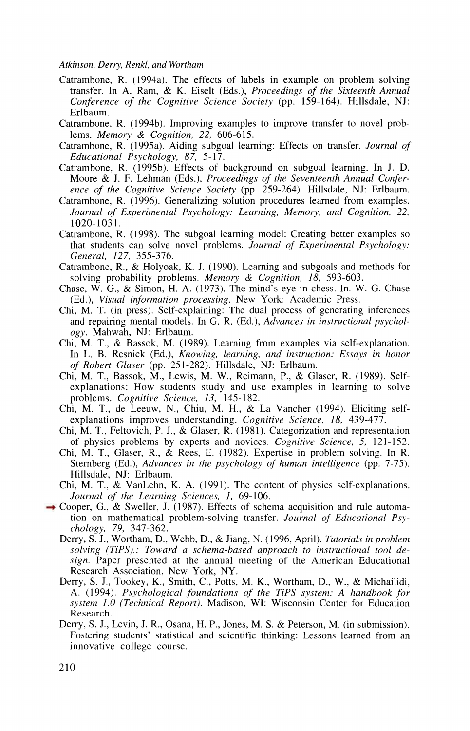- **Catrambone, R. (1994a). The effects of labels in example on problem solving transfer. In A. Ram, & K. Eiselt (Eds.), Proceedings of the Sixteenth Annual Conference of the Cognitive Science Society (pp. 159-164). Hillsdale, NJ: Erlbaum.**
- **Catrambone, R. (1994b). Improving examples to improve transfer to novel problems. Memory & Cognition, 22, 606-615.**
- **Catrambone, R. (1995a). Aiding subgoal learning: Effects on transfer. Journal of Educational Psychology, 87, 5-17.**
- **Catrambone, R. (1995b). Effects of background on subgoal learning. In J. D. Moore & J. F. Lehman (Eds.), Proceedings of the Seventeenth Annual Conference of the Cognitive Science Society (pp. 259-264). Hillsdale, NJ: Erlbaum.**
- **Catrambone, R. (1996). Generalizing solution procedures learned from examples. Journal of Experimental Psychology: Learning, Memory, and Cognition, 22, 1020-1031.**
- **Catrambone, R. (1998). The subgoal learning model: Creating better examples so that students can solve novel problems. Journal of Experimental Psychology: General, 127, 355-376.**
- **Catrambone, R., & Holyoak, K. J. (1990). Learning and subgoals and methods for solving probability problems. Memory & Cognition, 18, 593-603.**
- **Chase, W. G., & Simon, H. A. (1973). The mind's eye in chess. In. W. G. Chase (Ed.), Visual information processing. New York: Academic Press.**
- **Chi, M. T. (in press). Self-explaining: The dual process of generating inferences and repairing mental models. In G. R. (Ed.), Advances in instructional psychology. Mahwah, NJ: Erlbaum.**
- **Chi, M. T., & Bassok, M. (1989). Learning from examples via self-explanation. In L. B. Resnick (Ed.), Knowing, learning, and instruction: Essays in honor of Robert Glaser (pp. 251-282). Hillsdale, NJ: Erlbaum.**
- **Chi, M. T., Bassok, M., Lewis, M. W., Reimann, P., & Glaser, R. (1989). Selfexplanations: How students study and use examples in learning to solve problems. Cognitive Science, 13, 145-182.**
- **Chi, M. T., de Leeuw, N., Chiu, M. H., & La Vancher (1994). Eliciting selfexplanations improves understanding. Cognitive Science, 18, 439-477.**
- **Chi, M. T., Feltovich, P. J., & Glaser, R. (1981). Categorization and representation of physics problems by experts and novices. Cognitive Science, 5, 121-152.**
- **Chi, M. T., Glaser, R., & Rees, E. (1982). Expertise in problem solving. In R. Sternberg (Ed.), Advances in the psychology of human intelligence (pp. 7-75). Hillsdale, NJ: Erlbaum.**
- **Chi, M. T., & VanLehn, K. A. (1991). The content of physics self-explanations. Journal of the Learning Sciences, 1, 69-106.**
- **Cooper, G., & Sweller, J. (1987). Effects of schema acquisition and rule automation on mathematical problem-solving transfer. Journal of Educational Psychology, 79, 347-362.** 
	- **Derry, S. J., Wortham, D., Webb, D., & Jiang, N. (1996, April). Tutorials in problem solving (TiPS).: Toward a schema-based approach to instructional tool design. Paper presented at the annual meeting of the American Educational Research Association, New York, NY.**
	- **Derry, S. J., Tookey, K., Smith, C., Potts, M. K., Wortham, D., W., & Michailidi, A. (1994). Psychological foundations of the TiPS system: A handbook for system 1.0 (Technical Report). Madison, WI: Wisconsin Center for Education Research.**
	- **Derry, S. J., Levin, J. R., Osana, H. P., Jones, M. S. & Peterson, M. (in submission). Fostering students' statistical and scientific thinking: Lessons learned from an innovative college course.**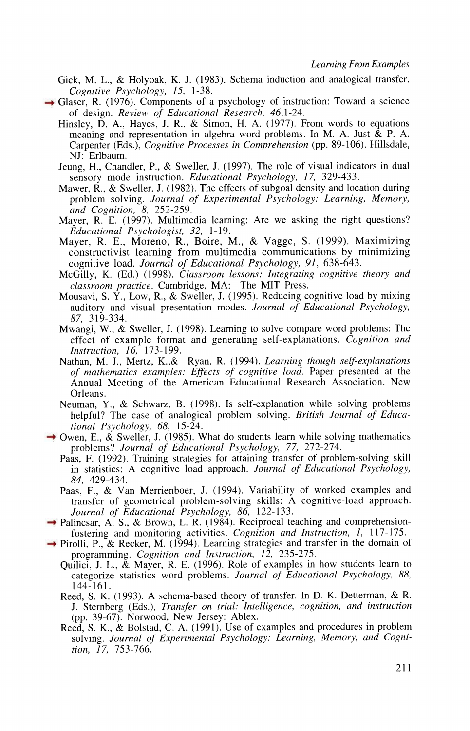**Gick, M. L., & Holyoak, K. J. (1983). Schema induction and analogical transfer. Cognitive Psychology, 15, 1-38.** 

- **Glaser, R. (1976). Components of a psychology of instruction: Toward a science of design. Review of Educational Research, 46,1-24.** 
	- **Hinsley, D. A., Hayes, J. R., & Simon, H. A. (1977). From words to equations meaning and representation in algebra word problems. In M. A. Just & P. A. Carpenter (Eds.), Cognitive Processes in Comprehension (pp. 89-106). Hillsdale, NJ: Erlbaum.**
	- **Jeung, H., Chandler, P., & Sweller, J. (1997). The role of visual indicators in dual sensory mode instruction. Educational Psychology, 17, 329-433.**
	- **Mawer, R., & Sweller, J. (1982). The effects of subgoal density and location during problem solving. Journal of Experimental Psychology: Learning, Memory, and Cognition, 8, 252-259.**
	- **Mayer, R. E. (1997). Multimedia learning: Are we asking the right questions? Educational Psychologist, 32, 1-19.**
	- **Mayer, R. E., Moreno, R., Boire, M., & Vagge, S. (1999). Maximizing constructivist learning from multimedia communications by minimizing cognitive load. Journal of Educational Psychology, 91, 638-643.**
	- **McGilly, K. (Ed.) (1998). Classroom lessons: Integrating cognitive theory and classroom practice. Cambridge, MA: The MIT Press.**
	- **Mousavi, S. Y., Low, R., & Sweller, J. (1995). Reducing cognitive load by mixing auditory and visual presentation modes. Journal of Educational Psychology, 87, 319-334.**
	- **Mwangi, W., & Sweller, J. (1998). Learning to solve compare word problems: The effect of example format and generating self-explanations. Cognition and Instruction, 16, 173-199.**
	- **Nathan, M. J., Mertz, K.,& Ryan, R. (1994). Learning though self-explanations of mathematics examples: Effects of cognitive load. Paper presented at the Annual Meeting of the American Educational Research Association, New Orleans.**
	- **Neuman, Y., & Schwarz, B. (1998). Is self-explanation while solving problems helpful? The case of analogical problem solving. British Journal of Educational Psychology, 68, 15-24.**
- **→ Owen, E., & Sweller, J. (1985). What do students learn while solving mathematics problems? Journal of Educational Psychology, 77, 272-274.** 
	- **Paas, F. (1992). Training strategies for attaining transfer of problem-solving skill in statistics: A cognitive load approach. Journal of Educational Psychology, 84, 429-434.**
	- **Paas, F., & Van Merrienboer, J. (1994). Variability of worked examples and transfer of geometrical problem-solving skills: A cognitive-load approach. Journal of Educational Psychology, 86, 122-133.**
- → Palincsar, A. S., & Brown, L. R. (1984). Reciprocal teaching and comprehension**fostering and monitoring activities. Cognition and Instruction, 1, 117-175.**
- **Pirolli, P., & Recker, M. (1994). Learning strategies and transfer in the domain of programming. Cognition and Instruction, 12, 235-275.** 
	- **Quilici, J. L., & Mayer, R. E. (1996). Role of examples in how students learn to categorize statistics word problems. Journal of Educational Psychology, 88, 144-161.**
	- **Reed, S. K. (1993). A schema-based theory of transfer. In D. K. Detterman, & R. J. Sternberg (Eds.), Transfer on trial: Intelligence, cognition, and instruction (pp. 39-67). Norwood, New Jersey: Ablex.**
	- **Reed, S. K., & Bolstad, C. A. (1991). Use of examples and procedures in problem solving. Journal of Experimental Psychology: Learning, Memory, and Cognition, 17, 753-766.**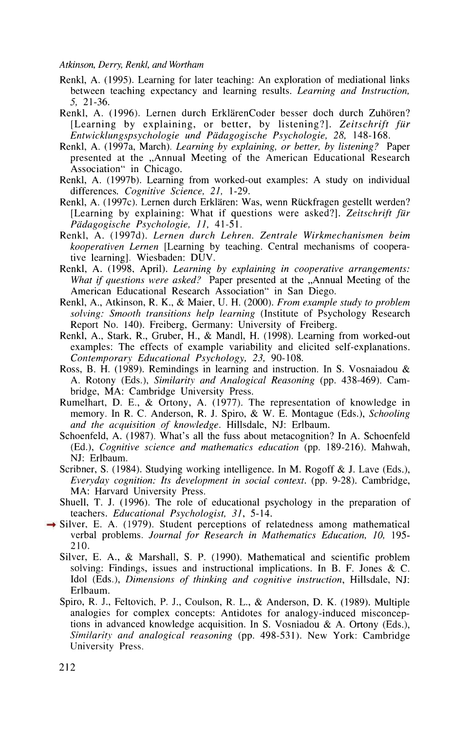- **Renkl, A. (1995). Learning for later teaching: An exploration of mediational links between teaching expectancy and learning results. Learning and Instruction, 5, 21-36.**
- Renkl, A. (1996). Lernen durch ErklärenCoder besser doch durch Zuhören? **[Learning by explaining, or better, by listening?]. Zeitschrift fur**  Entwicklungspsychologie und Pädagogische Psychologie, 28, 148-168.
- **Renkl, A. (1997a, March). Learning by explaining, or better, by listening? Paper presented at the ,,Annual Meeting of the American Educational Research Association" in Chicago.**
- **Renkl, A. (1997b). Learning from worked-out examples: A study on individual differences. Cognitive Science, 21, 1-29.**
- **Renkl, A. (1997c). Lernen durch Erklaren: Was, wenn Riickfragen gestellt werden? [Learning by explaining: What if questions were asked?]. Zeitschrift fur Pidagogische Psychologie, 11, 41-51.**
- **Renkl, A. (1997d). Lernen durch Lehren. Zentrale Wirkmechanismen beim kooperativen Lernen [Learning by teaching. Central mechanisms of cooperative learning]. Wiesbaden: DUV.**
- **Renkl, A. (1998, April). Learning by explaining in cooperative arrangements: What if questions were asked? Paper presented at the ,,Annual Meeting of the American Educational Research Association" in San Diego.**
- **Renkl, A., Atkinson, R. K., & Maier, U. H. (2000). From example study to problem solving: Smooth transitions help learning (Institute of Psychology Research Report No. 140). Freiberg, Germany: University of Freiberg.**
- **Renkl, A., Stark, R., Gruber, H., & Mandl, H. (1998). Learning from worked-out examples: The effects of example variability and elicited self-explanations. Contemporary Educational Psychology, 23, 90-108.**
- **Ross, B. H. (1989). Remindings in learning and instruction. In S. Vosnaiadou & A. Rotony (Eds.), Similarity and Analogical Reasoning (pp. 438-469). Cambridge, MA: Cambridge University Press.**
- **Rumelhart, D. E., & Ortony, A. (1977). The representation of knowledge in memory. In R. C. Anderson, R. J. Spiro, & W. E. Montague (Eds.), Schooling and the acquisition of knowledge. Hillsdale, NJ: Erlbaum.**
- **Schoenfeld, A. (1987). What's all the fuss about metacognition? In A. Schoenfeld (Ed.), Cognitive science and mathematics education (pp. 189-216). Mahwah, NJ: Erlbaum.**
- **Scribner, S. (1984). Studying working intelligence. In M. Rogoff & J. Lave (Eds.), Everyday cognition: Its development in social context. (pp. 9-28). Cambridge, MA: Harvard University Press.**
- **Shuell, T. J. (1996). The role of educational psychology in the preparation of teachers. Educational Psychologist, 31, 5-14.**
- **Silver, E. A. (1979). Student perceptions of relatedness among mathematical verbal problems. Journal for Research in Mathematics Education, 10, 195- 210.** 
	- **Silver, E. A., & Marshall, S. P. (1990). Mathematical and scientific problem solving: Findings, issues and instructional implications. In B. F. Jones & C. Idol (Eds.), Dimensions of thinking and cognitive instruction, Hillsdale, NJ: Erlbaum.**
	- **Spiro, R. J., Feltovich, P. J., Coulson, R. L., & Anderson, D. K. (1989). Multiple analogies for complex concepts: Antidotes for analogy-induced misconceptions in advanced knowledge acquisition. In S. Vosniadou & A. Ortony (Eds.), Similarity and analogical reasoning (pp. 498-531). New York: Cambridge University Press.**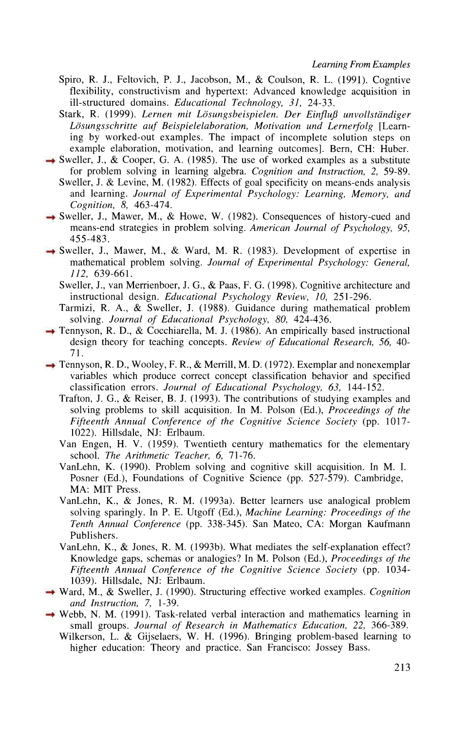- **Spiro, R. J., Feltovich, P. J., Jacobson, M., & Coulson, R. L. (1991). Cogntive flexibility, constructivism and hypertext: Advanced knowledge acquisition in ill-structured domains. Educational Technology, 31, 24-33.**
- Stark, R. (1999). Lernen mit Lösungsbeispielen. Der Einfluß unvollständiger Lösungsschritte auf Beispielelaboration, Motivation und Lernerfolg [Learn**ing by worked-out examples. The impact of incomplete solution steps on example elaboration, motivation, and learning outcomes]. Bern, CH: Huber.**
- **Sweller, J., & Cooper, G. A. (1985). The use of worked examples as a substitute for problem solving in learning algebra. Cognition and Instruction, 2, 59-89.** 
	- **Sweller, J. & Levine, M. (1982). Effects of goal specificity on means-ends analysis and learning. Journal of Experimental Psychology: Learning, Memory, and Cognition, 8, 463-474.**
- **Sweller, J., Mawer, M., & Howe, W. (1982). Consequences of history-cued and means-end strategies in problem solving. American Journal of Psychology, 95, 455-483.**
- **Sweller, J., Mawer, M., & Ward, M. R. (1983). Development of expertise in mathematical problem solving. Journal of Experimental Psychology: General, 112, 639-661.** 
	- **Sweller, J., van Merrienboer, J. G., & Paas, F. G. (1998). Cognitive architecture and instructional design. Educational Psychology Review, 10, 251-296.**
	- **Tarmizi, R. A., & Sweller, J. (1988). Guidance during mathematical problem solving. Journal of Educational Psychology, 80, 424-436.**
- **→ Tennyson, R. D., & Cocchiarella, M. J. (1986). An empirically based instructional design theory for teaching concepts. Review of Educational Research, 56, 40- 71.**
- **→ Tennyson, R. D., Wooley, F. R., & Merrill, M. D. (1972). Exemplar and nonexemplar variables which produce correct concept classification behavior and specified classification errors. Journal of Educational Psychology, 63, 144-152.** 
	- **Trafton, J. G., & Reiser, B. J. (1993). The contributions of studying examples and solving problems to skill acquisition. In M. Polson (Ed.), Proceedings of the Fifteenth Annual Conference of the Cognitive Science Society (pp. 1017- 1022). Hillsdale, NJ: Erlbaum.**
	- **Van Engen, H. V. (1959). Twentieth century mathematics for the elementary school. The Arithmetic Teacher, 6, 71-76.**
	- **VanLehn, K. (1990). Problem solving and cognitive skill acquisition. In M. I. Posner (Ed.), Foundations of Cognitive Science (pp. 527-579). Cambridge, MA: MIT Press.**
	- **VanLehn, K., & Jones, R. M. (1993a). Better learners use analogical problem solving sparingly. In P. E. Utgoff (Ed.), Machine Learning: Proceedings of the Tenth Annual Conference (pp. 338-345). San Mateo, CA: Morgan Kaufmann Publishers.**
	- **VanLehn, K., & Jones, R. M. (1993b). What mediates the self-explanation effect? Knowledge gaps, schemas or analogies? In M. Polson (Ed.), Proceedings of the Fifteenth Annual Conference of the Cognitive Science Society (pp. 1034- 1039). Hillsdale, NJ: Erlbaum.**
- **Ward, M., & Sweller, J. (1990). Structuring effective worked examples. Cognition and Instruction, 7, 1-39.**
- **Webb, N. M. (1991). Task-related verbal interaction and mathematics learning in small groups. Journal of Research in Mathematics Education, 22, 366-389. Wilkerson, L. & Gijselaers, W. H. (1996). Bringing problem-based learning to higher education: Theory and practice. San Francisco: Jossey Bass.**